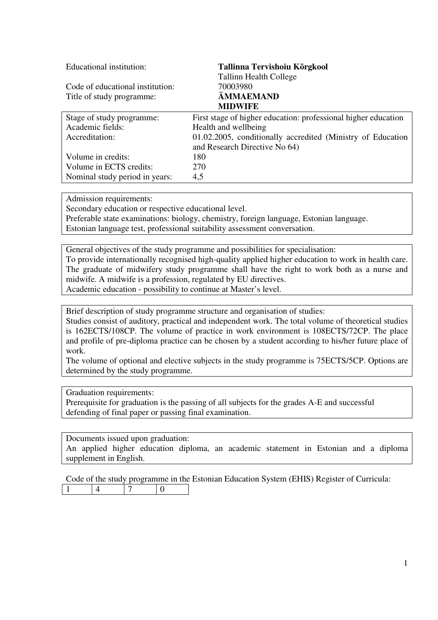| Educational institution:         | Tallinna Tervishoiu Kõrgkool                                   |
|----------------------------------|----------------------------------------------------------------|
|                                  | <b>Tallinn Health College</b>                                  |
| Code of educational institution: | 70003980                                                       |
| Title of study programme:        | ÄMMAEMAND                                                      |
|                                  | <b>MIDWIFE</b>                                                 |
| Stage of study programme:        | First stage of higher education: professional higher education |
| Academic fields:                 | Health and wellbeing                                           |
| Accreditation:                   | 01.02.2005, conditionally accredited (Ministry of Education    |
|                                  | and Research Directive No 64)                                  |
| Volume in credits:               | 180                                                            |
| Volume in ECTS credits:          | 270                                                            |
| Nominal study period in years:   | 4,5                                                            |

Admission requirements:

Secondary education or respective educational level.

Preferable state examinations: biology, chemistry, foreign language, Estonian language. Estonian language test, professional suitability assessment conversation.

General objectives of the study programme and possibilities for specialisation: To provide internationally recognised high-quality applied higher education to work in health care. The graduate of midwifery study programme shall have the right to work both as a nurse and midwife. A midwife is a profession, regulated by EU directives. Academic education - possibility to continue at Master's level.

Brief description of study programme structure and organisation of studies:

Studies consist of auditory, practical and independent work. The total volume of theoretical studies is 162ECTS/108CP. The volume of practice in work environment is 108ECTS/72CP. The place and profile of pre-diploma practice can be chosen by a student according to his/her future place of work.

The volume of optional and elective subjects in the study programme is 75ECTS/5CP. Options are determined by the study programme.

Graduation requirements:

Prerequisite for graduation is the passing of all subjects for the grades A-E and successful defending of final paper or passing final examination.

Documents issued upon graduation:

An applied higher education diploma, an academic statement in Estonian and a diploma supplement in English.

Code of the study programme in the Estonian Education System (EHIS) Register of Curricula:  $1 \t 4 \t 7 \t 0$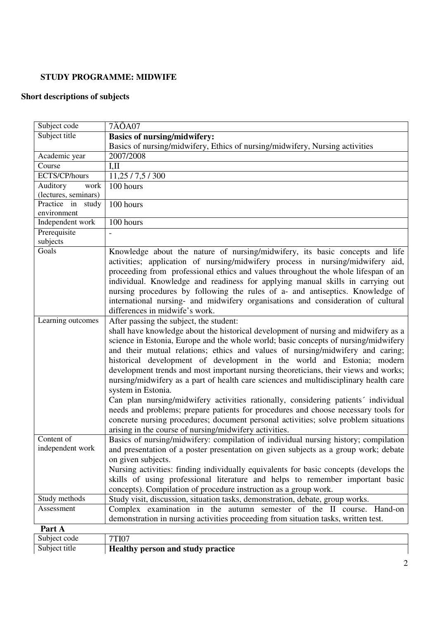## **STUDY PROGRAMME: MIDWIFE**

# **Short descriptions of subjects**

| Subject title<br>Academic year<br>Course<br>ECTS/CP/hours<br>Auditory<br>work<br>(lectures, seminars)<br>Practice in study<br>environment<br>Independent work<br>Prerequisite<br>subjects<br>Goals | <b>Basics of nursing/midwifery:</b><br>Basics of nursing/midwifery, Ethics of nursing/midwifery, Nursing activities<br>2007/2008<br>I,II<br>11,25 / 7,5 / 300<br>$100$ hours<br>100 hours<br>100 hours                                                                                                                                                                                                                                                                                                                                                                                                                                                                                                                                                                                                                                                                                                               |
|----------------------------------------------------------------------------------------------------------------------------------------------------------------------------------------------------|----------------------------------------------------------------------------------------------------------------------------------------------------------------------------------------------------------------------------------------------------------------------------------------------------------------------------------------------------------------------------------------------------------------------------------------------------------------------------------------------------------------------------------------------------------------------------------------------------------------------------------------------------------------------------------------------------------------------------------------------------------------------------------------------------------------------------------------------------------------------------------------------------------------------|
|                                                                                                                                                                                                    |                                                                                                                                                                                                                                                                                                                                                                                                                                                                                                                                                                                                                                                                                                                                                                                                                                                                                                                      |
|                                                                                                                                                                                                    |                                                                                                                                                                                                                                                                                                                                                                                                                                                                                                                                                                                                                                                                                                                                                                                                                                                                                                                      |
|                                                                                                                                                                                                    |                                                                                                                                                                                                                                                                                                                                                                                                                                                                                                                                                                                                                                                                                                                                                                                                                                                                                                                      |
|                                                                                                                                                                                                    |                                                                                                                                                                                                                                                                                                                                                                                                                                                                                                                                                                                                                                                                                                                                                                                                                                                                                                                      |
|                                                                                                                                                                                                    |                                                                                                                                                                                                                                                                                                                                                                                                                                                                                                                                                                                                                                                                                                                                                                                                                                                                                                                      |
|                                                                                                                                                                                                    |                                                                                                                                                                                                                                                                                                                                                                                                                                                                                                                                                                                                                                                                                                                                                                                                                                                                                                                      |
|                                                                                                                                                                                                    |                                                                                                                                                                                                                                                                                                                                                                                                                                                                                                                                                                                                                                                                                                                                                                                                                                                                                                                      |
|                                                                                                                                                                                                    |                                                                                                                                                                                                                                                                                                                                                                                                                                                                                                                                                                                                                                                                                                                                                                                                                                                                                                                      |
|                                                                                                                                                                                                    |                                                                                                                                                                                                                                                                                                                                                                                                                                                                                                                                                                                                                                                                                                                                                                                                                                                                                                                      |
|                                                                                                                                                                                                    |                                                                                                                                                                                                                                                                                                                                                                                                                                                                                                                                                                                                                                                                                                                                                                                                                                                                                                                      |
|                                                                                                                                                                                                    |                                                                                                                                                                                                                                                                                                                                                                                                                                                                                                                                                                                                                                                                                                                                                                                                                                                                                                                      |
|                                                                                                                                                                                                    |                                                                                                                                                                                                                                                                                                                                                                                                                                                                                                                                                                                                                                                                                                                                                                                                                                                                                                                      |
|                                                                                                                                                                                                    | Knowledge about the nature of nursing/midwifery, its basic concepts and life<br>activities; application of nursing/midwifery process in nursing/midwifery aid,<br>proceeding from professional ethics and values throughout the whole lifespan of an<br>individual. Knowledge and readiness for applying manual skills in carrying out<br>nursing procedures by following the rules of a- and antiseptics. Knowledge of<br>international nursing- and midwifery organisations and consideration of cultural<br>differences in midwife's work.                                                                                                                                                                                                                                                                                                                                                                        |
| Learning outcomes                                                                                                                                                                                  | After passing the subject, the student:<br>shall have knowledge about the historical development of nursing and midwifery as a<br>science in Estonia, Europe and the whole world; basic concepts of nursing/midwifery<br>and their mutual relations; ethics and values of nursing/midwifery and caring;<br>historical development of development in the world and Estonia; modern<br>development trends and most important nursing theoreticians, their views and works;<br>nursing/midwifery as a part of health care sciences and multidisciplinary health care<br>system in Estonia.<br>Can plan nursing/midwifery activities rationally, considering patients' individual<br>needs and problems; prepare patients for procedures and choose necessary tools for<br>concrete nursing procedures; document personal activities; solve problem situations<br>arising in the course of nursing/midwifery activities. |
| Content of<br>independent work                                                                                                                                                                     | Basics of nursing/midwifery: compilation of individual nursing history; compilation<br>and presentation of a poster presentation on given subjects as a group work; debate<br>on given subjects.<br>Nursing activities: finding individually equivalents for basic concepts (develops the<br>skills of using professional literature and helps to remember important basic<br>concepts). Compilation of procedure instruction as a group work.                                                                                                                                                                                                                                                                                                                                                                                                                                                                       |
| Study methods                                                                                                                                                                                      | Study visit, discussion, situation tasks, demonstration, debate, group works.                                                                                                                                                                                                                                                                                                                                                                                                                                                                                                                                                                                                                                                                                                                                                                                                                                        |
| Assessment                                                                                                                                                                                         | Complex examination in the autumn semester of the II course. Hand-on                                                                                                                                                                                                                                                                                                                                                                                                                                                                                                                                                                                                                                                                                                                                                                                                                                                 |
|                                                                                                                                                                                                    | demonstration in nursing activities proceeding from situation tasks, written test.                                                                                                                                                                                                                                                                                                                                                                                                                                                                                                                                                                                                                                                                                                                                                                                                                                   |
| Part A                                                                                                                                                                                             |                                                                                                                                                                                                                                                                                                                                                                                                                                                                                                                                                                                                                                                                                                                                                                                                                                                                                                                      |
| Subject code                                                                                                                                                                                       | <b>7TI07</b>                                                                                                                                                                                                                                                                                                                                                                                                                                                                                                                                                                                                                                                                                                                                                                                                                                                                                                         |
| Subject title                                                                                                                                                                                      | <b>Healthy person and study practice</b>                                                                                                                                                                                                                                                                                                                                                                                                                                                                                                                                                                                                                                                                                                                                                                                                                                                                             |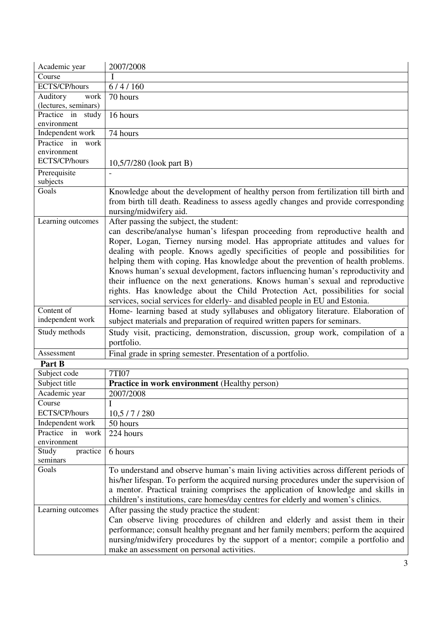| Academic year        | 2007/2008                                                                                                                      |
|----------------------|--------------------------------------------------------------------------------------------------------------------------------|
| Course               |                                                                                                                                |
| ECTS/CP/hours        | 6/4/160                                                                                                                        |
| Auditory<br>work     | 70 hours                                                                                                                       |
| (lectures, seminars) |                                                                                                                                |
| Practice in study    | 16 hours                                                                                                                       |
| environment          |                                                                                                                                |
| Independent work     | 74 hours                                                                                                                       |
| Practice in<br>work  |                                                                                                                                |
| environment          |                                                                                                                                |
| ECTS/CP/hours        | 10,5/7/280 (look part B)                                                                                                       |
| Prerequisite         |                                                                                                                                |
| subjects             |                                                                                                                                |
| Goals                | Knowledge about the development of healthy person from fertilization till birth and                                            |
|                      | from birth till death. Readiness to assess agedly changes and provide corresponding                                            |
|                      | nursing/midwifery aid.                                                                                                         |
| Learning outcomes    | After passing the subject, the student:                                                                                        |
|                      | can describe/analyse human's lifespan proceeding from reproductive health and                                                  |
|                      | Roper, Logan, Tierney nursing model. Has appropriate attitudes and values for                                                  |
|                      | dealing with people. Knows agedly specificities of people and possibilities for                                                |
|                      | helping them with coping. Has knowledge about the prevention of health problems.                                               |
|                      | Knows human's sexual development, factors influencing human's reproductivity and                                               |
|                      | their influence on the next generations. Knows human's sexual and reproductive                                                 |
|                      | rights. Has knowledge about the Child Protection Act, possibilities for social                                                 |
|                      | services, social services for elderly- and disabled people in EU and Estonia.                                                  |
| Content of           | Home- learning based at study syllabuses and obligatory literature. Elaboration of                                             |
| independent work     | subject materials and preparation of required written papers for seminars.                                                     |
| Study methods        | Study visit, practicing, demonstration, discussion, group work, compilation of a                                               |
|                      | portfolio.                                                                                                                     |
| Assessment           | Final grade in spring semester. Presentation of a portfolio.                                                                   |
| Part B               |                                                                                                                                |
| Subject code         | <b>7TI07</b>                                                                                                                   |
| Subject title        | <b>Practice in work environment</b> (Healthy person)                                                                           |
| Academic year        | 2007/2008                                                                                                                      |
| Course               |                                                                                                                                |
| ECTS/CP/hours        | 10,5/7/280                                                                                                                     |
| Independent work     | 50 hours                                                                                                                       |
| Practice in<br>work  | 224 hours                                                                                                                      |
| environment          |                                                                                                                                |
| practice<br>Study    | 6 hours                                                                                                                        |
| seminars             |                                                                                                                                |
| Goals                | To understand and observe human's main living activities across different periods of                                           |
|                      | his/her lifespan. To perform the acquired nursing procedures under the supervision of                                          |
|                      | a mentor. Practical training comprises the application of knowledge and skills in                                              |
|                      | children's institutions, care homes/day centres for elderly and women's clinics.                                               |
| Learning outcomes    | After passing the study practice the student:                                                                                  |
|                      | Can observe living procedures of children and elderly and assist them in their                                                 |
|                      | performance; consult healthy pregnant and her family members; perform the acquired                                             |
|                      |                                                                                                                                |
|                      | nursing/midwifery procedures by the support of a mentor; compile a portfolio and<br>make an assessment on personal activities. |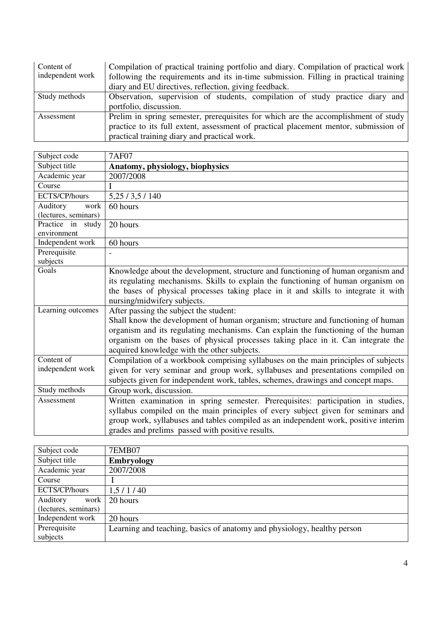| Content of       | Compilation of practical training portfolio and diary. Compilation of practical work |
|------------------|--------------------------------------------------------------------------------------|
| independent work | following the requirements and its in-time submission. Filling in practical training |
|                  | diary and EU directives, reflection, giving feedback.                                |
| Study methods    | Observation, supervision of students, compilation of study practice diary and        |
|                  | portfolio, discussion.                                                               |
| Assessment       | Prelim in spring semester, prerequisites for which are the accomplishment of study   |
|                  | practice to its full extent, assessment of practical placement mentor, submission of |
|                  | practical training diary and practical work.                                         |

| Subject code         | <b>7AF07</b>                                                                        |
|----------------------|-------------------------------------------------------------------------------------|
| Subject title        | Anatomy, physiology, biophysics                                                     |
| Academic year        | 2007/2008                                                                           |
| Course               |                                                                                     |
| ECTS/CP/hours        | 5, 25 / 3, 5 / 140                                                                  |
| Auditory<br>work     | 60 hours                                                                            |
| (lectures, seminars) |                                                                                     |
| Practice in study    | 20 hours                                                                            |
| environment          |                                                                                     |
| Independent work     | 60 hours                                                                            |
| Prerequisite         |                                                                                     |
| subjects             |                                                                                     |
| Goals                | Knowledge about the development, structure and functioning of human organism and    |
|                      | its regulating mechanisms. Skills to explain the functioning of human organism on   |
|                      | the bases of physical processes taking place in it and skills to integrate it with  |
|                      | nursing/midwifery subjects.                                                         |
| Learning outcomes    | After passing the subject the student:                                              |
|                      | Shall know the development of human organism; structure and functioning of human    |
|                      | organism and its regulating mechanisms. Can explain the functioning of the human    |
|                      | organism on the bases of physical processes taking place in it. Can integrate the   |
|                      | acquired knowledge with the other subjects.                                         |
| Content of           | Compilation of a workbook comprising syllabuses on the main principles of subjects  |
| independent work     | given for very seminar and group work, syllabuses and presentations compiled on     |
|                      | subjects given for independent work, tables, schemes, drawings and concept maps.    |
| Study methods        | Group work, discussion.                                                             |
| Assessment           | Written examination in spring semester. Prerequisites: participation in studies,    |
|                      | syllabus compiled on the main principles of every subject given for seminars and    |
|                      | group work, syllabuses and tables compiled as an independent work, positive interim |
|                      | grades and prelims passed with positive results.                                    |

| Subject code         | <b>7EMB07</b>                                                           |
|----------------------|-------------------------------------------------------------------------|
| Subject title        | <b>Embryology</b>                                                       |
| Academic year        | 2007/2008                                                               |
| Course               |                                                                         |
| ECTS/CP/hours        | 1,5/1/40                                                                |
| Auditory<br>work     | 20 hours                                                                |
| (lectures, seminars) |                                                                         |
| Independent work     | 20 hours                                                                |
| Prerequisite         | Learning and teaching, basics of anatomy and physiology, healthy person |
| subjects             |                                                                         |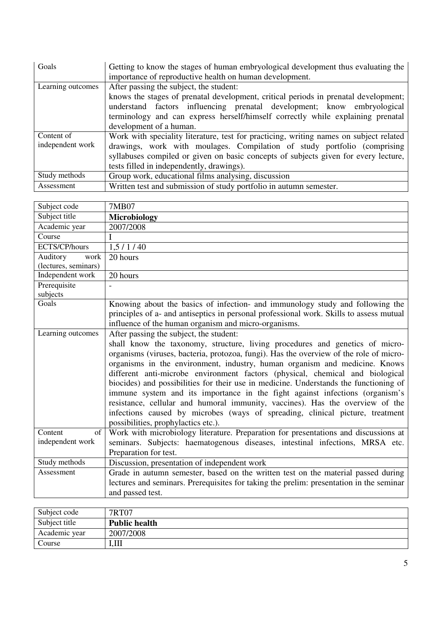| Goals                          | Getting to know the stages of human embryological development thus evaluating the<br>importance of reproductive health on human development.                                                                                                                                                                            |
|--------------------------------|-------------------------------------------------------------------------------------------------------------------------------------------------------------------------------------------------------------------------------------------------------------------------------------------------------------------------|
| Learning outcomes              | After passing the subject, the student:<br>knows the stages of prenatal development, critical periods in prenatal development;<br>understand factors influencing prenatal development; know embryological<br>terminology and can express herself/himself correctly while explaining prenatal<br>development of a human. |
| Content of<br>independent work | Work with speciality literature, test for practicing, writing names on subject related<br>drawings, work with moulages. Compilation of study portfolio (comprising<br>syllabuses compiled or given on basic concepts of subjects given for every lecture,<br>tests filled in independently, drawings).                  |
| Study methods                  | Group work, educational films analysing, discussion                                                                                                                                                                                                                                                                     |
| Assessment                     | Written test and submission of study portfolio in autumn semester.                                                                                                                                                                                                                                                      |

| Subject code         | 7MB07                                                                                   |
|----------------------|-----------------------------------------------------------------------------------------|
| Subject title        | <b>Microbiology</b>                                                                     |
| Academic year        | 2007/2008                                                                               |
| Course               |                                                                                         |
| ECTS/CP/hours        | 1, 5 / 1 / 40                                                                           |
| Auditory<br>work     | 20 hours                                                                                |
| (lectures, seminars) |                                                                                         |
| Independent work     | 20 hours                                                                                |
| Prerequisite         |                                                                                         |
| subjects             |                                                                                         |
| Goals                | Knowing about the basics of infection- and immunology study and following the           |
|                      | principles of a- and antiseptics in personal professional work. Skills to assess mutual |
|                      | influence of the human organism and micro-organisms.                                    |
| Learning outcomes    | After passing the subject, the student:                                                 |
|                      | shall know the taxonomy, structure, living procedures and genetics of micro-            |
|                      | organisms (viruses, bacteria, protozoa, fungi). Has the overview of the role of micro-  |
|                      | organisms in the environment, industry, human organism and medicine. Knows              |
|                      | different anti-microbe environment factors (physical, chemical and biological           |
|                      | biocides) and possibilities for their use in medicine. Understands the functioning of   |
|                      | immune system and its importance in the fight against infections (organism's            |
|                      | resistance, cellular and humoral immunity, vaccines). Has the overview of the           |
|                      | infections caused by microbes (ways of spreading, clinical picture, treatment           |
|                      | possibilities, prophylactics etc.).                                                     |
| Content<br>of        | Work with microbiology literature. Preparation for presentations and discussions at     |
| independent work     | seminars. Subjects: haematogenous diseases, intestinal infections, MRSA etc.            |
|                      | Preparation for test.                                                                   |
| Study methods        | Discussion, presentation of independent work                                            |
| Assessment           | Grade in autumn semester, based on the written test on the material passed during       |
|                      | lectures and seminars. Prerequisites for taking the prelim: presentation in the seminar |
|                      | and passed test.                                                                        |
|                      |                                                                                         |

| Subject code  | 7RT07                |
|---------------|----------------------|
| Subject title | <b>Public health</b> |
| Academic year | 2007/2008            |
| Course        | I.Ш                  |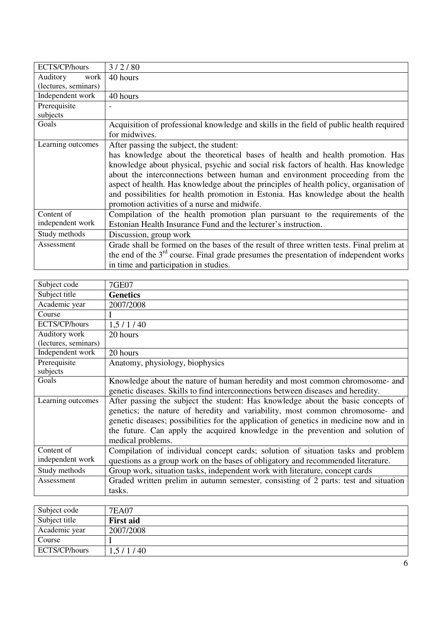| ECTS/CP/hours        | 3/2/80                                                                                   |
|----------------------|------------------------------------------------------------------------------------------|
| Auditory<br>work     | 40 hours                                                                                 |
| (lectures, seminars) |                                                                                          |
| Independent work     | 40 hours                                                                                 |
| Prerequisite         |                                                                                          |
| subjects             |                                                                                          |
| Goals                | Acquisition of professional knowledge and skills in the field of public health required  |
|                      | for midwives.                                                                            |
| Learning outcomes    | After passing the subject, the student:                                                  |
|                      | has knowledge about the theoretical bases of health and health promotion. Has            |
|                      | knowledge about physical, psychic and social risk factors of health. Has knowledge       |
|                      | about the interconnections between human and environment proceeding from the             |
|                      | aspect of health. Has knowledge about the principles of health policy, organisation of   |
|                      | and possibilities for health promotion in Estonia. Has knowledge about the health        |
|                      | promotion activities of a nurse and midwife.                                             |
| Content of           | Compilation of the health promotion plan pursuant to the requirements of the             |
| independent work     | Estonian Health Insurance Fund and the lecturer's instruction.                           |
| Study methods        | Discussion, group work                                                                   |
| Assessment           | Grade shall be formed on the bases of the result of three written tests. Final prelim at |
|                      | the end of the $3rd$ course. Final grade presumes the presentation of independent works  |
|                      | in time and participation in studies.                                                    |

| Subject code         | <b>7GE07</b>                                                                           |
|----------------------|----------------------------------------------------------------------------------------|
| Subject title        | <b>Genetics</b>                                                                        |
| Academic year        | 2007/2008                                                                              |
| Course               |                                                                                        |
| ECTS/CP/hours        | 1,5/1/40                                                                               |
| Auditory work        | 20 hours                                                                               |
| (lectures, seminars) |                                                                                        |
| Independent work     | 20 hours                                                                               |
| Prerequisite         | Anatomy, physiology, biophysics                                                        |
| subjects             |                                                                                        |
| Goals                | Knowledge about the nature of human heredity and most common chromosome- and           |
|                      | genetic diseases. Skills to find interconnections between diseases and heredity.       |
| Learning outcomes    | After passing the subject the student: Has knowledge about the basic concepts of       |
|                      | genetics; the nature of heredity and variability, most common chromosome- and          |
|                      | genetic diseases; possibilities for the application of genetics in medicine now and in |
|                      | the future. Can apply the acquired knowledge in the prevention and solution of         |
|                      | medical problems.                                                                      |
| Content of           | Compilation of individual concept cards; solution of situation tasks and problem       |
| independent work     | questions as a group work on the bases of obligatory and recommended literature.       |
| Study methods        | Group work, situation tasks, independent work with literature, concept cards           |
| Assessment           | Graded written prelim in autumn semester, consisting of 2 parts: test and situation    |
|                      | tasks.                                                                                 |

| Subject code  | 7EA07            |
|---------------|------------------|
| Subject title | <b>First aid</b> |
| Academic year | 2007/2008        |
| Course        |                  |
| ECTS/CP/hours | 1,5/1/40         |
|               |                  |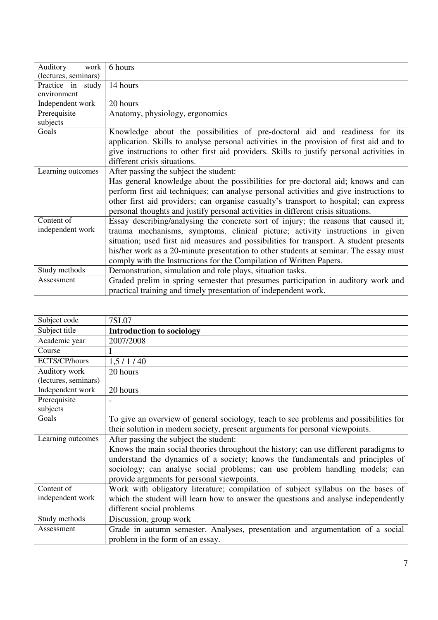| Auditory<br>work               | 6 hours                                                                                                                                                                                                                                                                                                                                                                                                                        |
|--------------------------------|--------------------------------------------------------------------------------------------------------------------------------------------------------------------------------------------------------------------------------------------------------------------------------------------------------------------------------------------------------------------------------------------------------------------------------|
| (lectures, seminars)           |                                                                                                                                                                                                                                                                                                                                                                                                                                |
| Practice in study              | 14 hours                                                                                                                                                                                                                                                                                                                                                                                                                       |
| environment                    |                                                                                                                                                                                                                                                                                                                                                                                                                                |
| Independent work               | 20 hours                                                                                                                                                                                                                                                                                                                                                                                                                       |
| Prerequisite<br>subjects       | Anatomy, physiology, ergonomics                                                                                                                                                                                                                                                                                                                                                                                                |
| Goals                          | Knowledge about the possibilities of pre-doctoral aid and readiness for its<br>application. Skills to analyse personal activities in the provision of first aid and to<br>give instructions to other first aid providers. Skills to justify personal activities in<br>different crisis situations.                                                                                                                             |
| Learning outcomes              | After passing the subject the student:<br>Has general knowledge about the possibilities for pre-doctoral aid; knows and can<br>perform first aid techniques; can analyse personal activities and give instructions to<br>other first aid providers; can organise casualty's transport to hospital; can express<br>personal thoughts and justify personal activities in different crisis situations.                            |
| Content of<br>independent work | Essay describing/analysing the concrete sort of injury; the reasons that caused it;<br>trauma mechanisms, symptoms, clinical picture; activity instructions in given<br>situation; used first aid measures and possibilities for transport. A student presents<br>his/her work as a 20-minute presentation to other students at seminar. The essay must<br>comply with the Instructions for the Compilation of Written Papers. |
| Study methods                  | Demonstration, simulation and role plays, situation tasks.                                                                                                                                                                                                                                                                                                                                                                     |
| Assessment                     | Graded prelim in spring semester that presumes participation in auditory work and<br>practical training and timely presentation of independent work.                                                                                                                                                                                                                                                                           |

| Subject code                          | <b>7SL07</b>                                                                                                                                                          |
|---------------------------------------|-----------------------------------------------------------------------------------------------------------------------------------------------------------------------|
| Subject title                         | <b>Introduction to sociology</b>                                                                                                                                      |
| Academic year                         | 2007/2008                                                                                                                                                             |
| Course                                | I                                                                                                                                                                     |
| ECTS/CP/hours                         | 1,5/1/40                                                                                                                                                              |
| Auditory work<br>(lectures, seminars) | 20 hours                                                                                                                                                              |
| Independent work                      | 20 hours                                                                                                                                                              |
| Prerequisite<br>subjects              |                                                                                                                                                                       |
| Goals                                 | To give an overview of general sociology, teach to see problems and possibilities for<br>their solution in modern society, present arguments for personal viewpoints. |
| Learning outcomes                     | After passing the subject the student:                                                                                                                                |
|                                       | Knows the main social theories throughout the history; can use different paradigms to                                                                                 |
|                                       | understand the dynamics of a society; knows the fundamentals and principles of                                                                                        |
|                                       | sociology; can analyse social problems; can use problem handling models; can                                                                                          |
|                                       | provide arguments for personal viewpoints.                                                                                                                            |
| Content of                            | Work with obligatory literature; compilation of subject syllabus on the bases of                                                                                      |
| independent work                      | which the student will learn how to answer the questions and analyse independently                                                                                    |
|                                       | different social problems                                                                                                                                             |
| Study methods                         | Discussion, group work                                                                                                                                                |
| Assessment                            | Grade in autumn semester. Analyses, presentation and argumentation of a social<br>problem in the form of an essay.                                                    |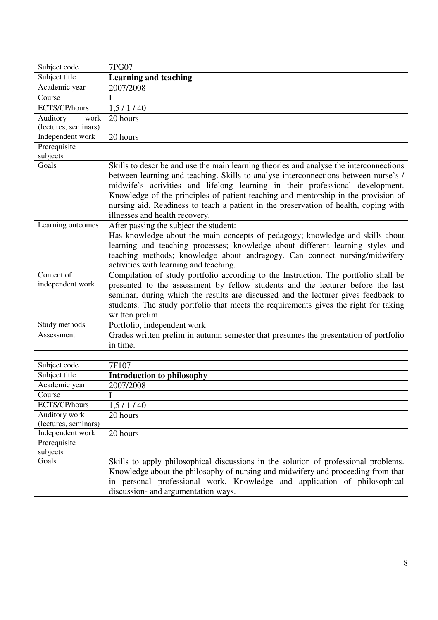| Subject code         | <b>7PG07</b>                                                                           |
|----------------------|----------------------------------------------------------------------------------------|
| Subject title        | <b>Learning and teaching</b>                                                           |
| Academic year        | 2007/2008                                                                              |
| Course               | I                                                                                      |
| ECTS/CP/hours        | 1,5/1/40                                                                               |
| Auditory<br>work     | 20 hours                                                                               |
| (lectures, seminars) |                                                                                        |
| Independent work     | 20 hours                                                                               |
| Prerequisite         |                                                                                        |
| subjects             |                                                                                        |
| Goals                | Skills to describe and use the main learning theories and analyse the interconnections |
|                      | between learning and teaching. Skills to analyse interconnections between nurse's /    |
|                      | midwife's activities and lifelong learning in their professional development.          |
|                      | Knowledge of the principles of patient-teaching and mentorship in the provision of     |
|                      | nursing aid. Readiness to teach a patient in the preservation of health, coping with   |
|                      | illnesses and health recovery.                                                         |
| Learning outcomes    | After passing the subject the student:                                                 |
|                      | Has knowledge about the main concepts of pedagogy; knowledge and skills about          |
|                      | learning and teaching processes; knowledge about different learning styles and         |
|                      | teaching methods; knowledge about andragogy. Can connect nursing/midwifery             |
|                      | activities with learning and teaching.                                                 |
| Content of           | Compilation of study portfolio according to the Instruction. The portfolio shall be    |
| independent work     | presented to the assessment by fellow students and the lecturer before the last        |
|                      | seminar, during which the results are discussed and the lecturer gives feedback to     |
|                      | students. The study portfolio that meets the requirements gives the right for taking   |
|                      | written prelim.                                                                        |
| Study methods        | Portfolio, independent work                                                            |
| Assessment           | Grades written prelim in autumn semester that presumes the presentation of portfolio   |
|                      | in time.                                                                               |

| Subject code         | 7F107                                                                               |
|----------------------|-------------------------------------------------------------------------------------|
| Subject title        | <b>Introduction to philosophy</b>                                                   |
| Academic year        | 2007/2008                                                                           |
| Course               |                                                                                     |
| ECTS/CP/hours        | 1,5/1/40                                                                            |
| Auditory work        | 20 hours                                                                            |
| (lectures, seminars) |                                                                                     |
| Independent work     | 20 hours                                                                            |
| Prerequisite         |                                                                                     |
| subjects             |                                                                                     |
| Goals                | Skills to apply philosophical discussions in the solution of professional problems. |
|                      | Knowledge about the philosophy of nursing and midwifery and proceeding from that    |
|                      | personal professional work. Knowledge and application of philosophical<br>1n        |
|                      | discussion- and argumentation ways.                                                 |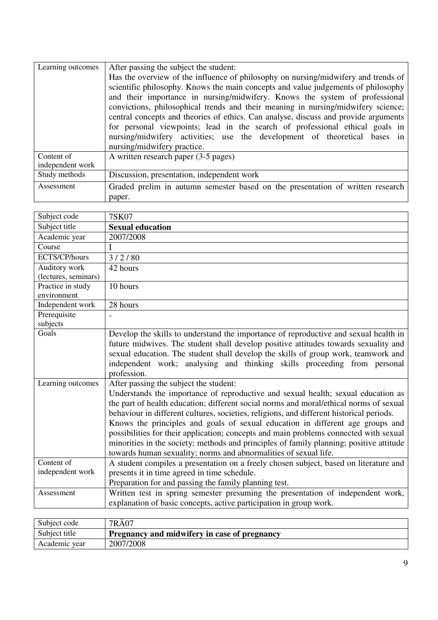| Learning outcomes | After passing the subject the student:                                              |
|-------------------|-------------------------------------------------------------------------------------|
|                   | Has the overview of the influence of philosophy on nursing/midwifery and trends of  |
|                   | scientific philosophy. Knows the main concepts and value judgements of philosophy   |
|                   | and their importance in nursing/midwifery. Knows the system of professional         |
|                   | convictions, philosophical trends and their meaning in nursing/midwifery science;   |
|                   | central concepts and theories of ethics. Can analyse, discuss and provide arguments |
|                   | for personal viewpoints; lead in the search of professional ethical goals in        |
|                   | nursing/midwifery activities; use the development of theoretical bases in           |
|                   | nursing/midwifery practice.                                                         |
| Content of        | A written research paper (3-5 pages)                                                |
| independent work  |                                                                                     |
| Study methods     | Discussion, presentation, independent work                                          |
| Assessment        | Graded prelim in autumn semester based on the presentation of written research      |
|                   | paper.                                                                              |

| Subject code                     | <b>7SK07</b>                                                                             |
|----------------------------------|------------------------------------------------------------------------------------------|
| Subject title                    | <b>Sexual education</b>                                                                  |
| Academic year                    | 2007/2008                                                                                |
| Course                           | I                                                                                        |
| ECTS/CP/hours                    | 3/2/80                                                                                   |
| Auditory work                    | 42 hours                                                                                 |
| (lectures, seminars)             |                                                                                          |
| Practice in study<br>environment | 10 hours                                                                                 |
| Independent work                 | 28 hours                                                                                 |
| Prerequisite                     |                                                                                          |
| subjects                         |                                                                                          |
| Goals                            | Develop the skills to understand the importance of reproductive and sexual health in     |
|                                  | future midwives. The student shall develop positive attitudes towards sexuality and      |
|                                  | sexual education. The student shall develop the skills of group work, teamwork and       |
|                                  | independent work; analysing and thinking skills proceeding from personal                 |
|                                  | profession.                                                                              |
| Learning outcomes                | After passing the subject the student:                                                   |
|                                  | Understands the importance of reproductive and sexual health; sexual education as        |
|                                  | the part of health education; different social norms and moral/ethical norms of sexual   |
|                                  | behaviour in different cultures, societies, religions, and different historical periods. |
|                                  | Knows the principles and goals of sexual education in different age groups and           |
|                                  | possibilities for their application; concepts and main problems connected with sexual    |
|                                  | minorities in the society; methods and principles of family planning; positive attitude  |
|                                  | towards human sexuality; norms and abnormalities of sexual life.                         |
| Content of                       | A student compiles a presentation on a freely chosen subject, based on literature and    |
| independent work                 | presents it in time agreed in time schedule.                                             |
|                                  | Preparation for and passing the family planning test.                                    |
| Assessment                       | Written test in spring semester presuming the presentation of independent work,          |
|                                  | explanation of basic concepts, active participation in group work.                       |

| Subject code  | 7RÄ07                                        |
|---------------|----------------------------------------------|
| Subject title | Pregnancy and midwifery in case of pregnancy |
| Academic year | 2007/2008                                    |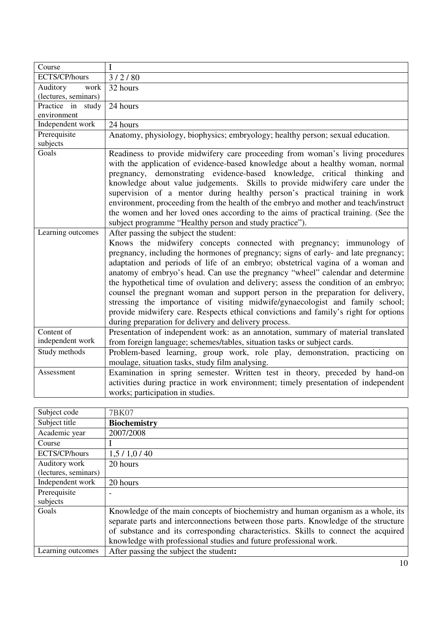| Course               | I                                                                                   |
|----------------------|-------------------------------------------------------------------------------------|
| ECTS/CP/hours        | 3/2/80                                                                              |
| Auditory<br>work     | 32 hours                                                                            |
| (lectures, seminars) |                                                                                     |
| Practice in<br>study | 24 hours                                                                            |
| environment          |                                                                                     |
| Independent work     | 24 hours                                                                            |
| Prerequisite         | Anatomy, physiology, biophysics; embryology; healthy person; sexual education.      |
| subjects             |                                                                                     |
| Goals                | Readiness to provide midwifery care proceeding from woman's living procedures       |
|                      | with the application of evidence-based knowledge about a healthy woman, normal      |
|                      | pregnancy, demonstrating evidence-based knowledge, critical thinking and            |
|                      | knowledge about value judgements. Skills to provide midwifery care under the        |
|                      | supervision of a mentor during healthy person's practical training in work          |
|                      | environment, proceeding from the health of the embryo and mother and teach/instruct |
|                      | the women and her loved ones according to the aims of practical training. (See the  |
|                      | subject programme "Healthy person and study practice").                             |
| Learning outcomes    | After passing the subject the student:                                              |
|                      | Knows the midwifery concepts connected with pregnancy; immunology of                |
|                      | pregnancy, including the hormones of pregnancy; signs of early- and late pregnancy; |
|                      | adaptation and periods of life of an embryo; obstetrical vagina of a woman and      |
|                      | anatomy of embryo's head. Can use the pregnancy "wheel" calendar and determine      |
|                      | the hypothetical time of ovulation and delivery; assess the condition of an embryo; |
|                      | counsel the pregnant woman and support person in the preparation for delivery,      |
|                      | stressing the importance of visiting midwife/gynaecologist and family school;       |
|                      | provide midwifery care. Respects ethical convictions and family's right for options |
|                      | during preparation for delivery and delivery process.                               |
| Content of           | Presentation of independent work: as an annotation, summary of material translated  |
| independent work     | from foreign language; schemes/tables, situation tasks or subject cards.            |
| Study methods        | Problem-based learning, group work, role play, demonstration, practicing on         |
|                      | moulage, situation tasks, study film analysing.                                     |
| Assessment           | Examination in spring semester. Written test in theory, preceded by hand-on         |
|                      | activities during practice in work environment; timely presentation of independent  |
|                      | works; participation in studies.                                                    |

| Subject code         | 7BK07                                                                               |
|----------------------|-------------------------------------------------------------------------------------|
| Subject title        | <b>Biochemistry</b>                                                                 |
| Academic year        | 2007/2008                                                                           |
| Course               |                                                                                     |
| ECTS/CP/hours        | 1,5/1,0/40                                                                          |
| Auditory work        | 20 hours                                                                            |
| (lectures, seminars) |                                                                                     |
| Independent work     | 20 hours                                                                            |
| Prerequisite         |                                                                                     |
| subjects             |                                                                                     |
| Goals                | Knowledge of the main concepts of biochemistry and human organism as a whole, its   |
|                      | separate parts and interconnections between those parts. Knowledge of the structure |
|                      | of substance and its corresponding characteristics. Skills to connect the acquired  |
|                      | knowledge with professional studies and future professional work.                   |
| Learning outcomes    | After passing the subject the student:                                              |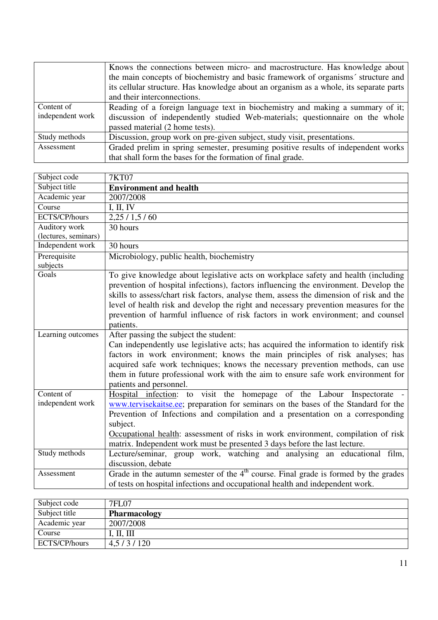|                  | Knows the connections between micro- and macrostructure. Has knowledge about           |
|------------------|----------------------------------------------------------------------------------------|
|                  | the main concepts of biochemistry and basic framework of organisms' structure and      |
|                  | its cellular structure. Has knowledge about an organism as a whole, its separate parts |
|                  | and their interconnections.                                                            |
| Content of       | Reading of a foreign language text in biochemistry and making a summary of it;         |
| independent work | discussion of independently studied Web-materials; questionnaire on the whole          |
|                  | passed material (2 home tests).                                                        |
| Study methods    | Discussion, group work on pre-given subject, study visit, presentations.               |
| Assessment       | Graded prelim in spring semester, presuming positive results of independent works      |
|                  | that shall form the bases for the formation of final grade.                            |

| Subject code         | <b>7KT07</b>                                                                            |
|----------------------|-----------------------------------------------------------------------------------------|
| Subject title        | <b>Environment and health</b>                                                           |
| Academic year        | 2007/2008                                                                               |
| Course               | I, II, IV                                                                               |
| ECTS/CP/hours        | 2,25/1,5/60                                                                             |
| Auditory work        | 30 hours                                                                                |
| (lectures, seminars) |                                                                                         |
| Independent work     | 30 hours                                                                                |
| Prerequisite         | Microbiology, public health, biochemistry                                               |
| subjects             |                                                                                         |
| Goals                | To give knowledge about legislative acts on workplace safety and health (including      |
|                      | prevention of hospital infections), factors influencing the environment. Develop the    |
|                      | skills to assess/chart risk factors, analyse them, assess the dimension of risk and the |
|                      | level of health risk and develop the right and necessary prevention measures for the    |
|                      | prevention of harmful influence of risk factors in work environment; and counsel        |
|                      | patients.                                                                               |
| Learning outcomes    | After passing the subject the student:                                                  |
|                      | Can independently use legislative acts; has acquired the information to identify risk   |
|                      | factors in work environment; knows the main principles of risk analyses; has            |
|                      | acquired safe work techniques; knows the necessary prevention methods, can use          |
|                      | them in future professional work with the aim to ensure safe work environment for       |
|                      | patients and personnel.                                                                 |
| Content of           | Hospital infection: to visit the homepage of the Labour Inspectorate -                  |
| independent work     | www.tervisekaitse.ee; preparation for seminars on the bases of the Standard for the     |
|                      | Prevention of Infections and compilation and a presentation on a corresponding          |
|                      | subject.                                                                                |
|                      | Occupational health: assessment of risks in work environment, compilation of risk       |
|                      | matrix. Independent work must be presented 3 days before the last lecture.              |
| Study methods        | Lecture/seminar, group work, watching and analysing an educational film,                |
|                      | discussion, debate                                                                      |
| Assessment           | Grade in the autumn semester of the $4th$ course. Final grade is formed by the grades   |
|                      | of tests on hospital infections and occupational health and independent work.           |

| Subject code  | 7FL07               |
|---------------|---------------------|
| Subject title | <b>Pharmacology</b> |
| Academic year | 2007/2008           |
| Course        | I, II, III          |
| ECTS/CP/hours | 4,5/3/120           |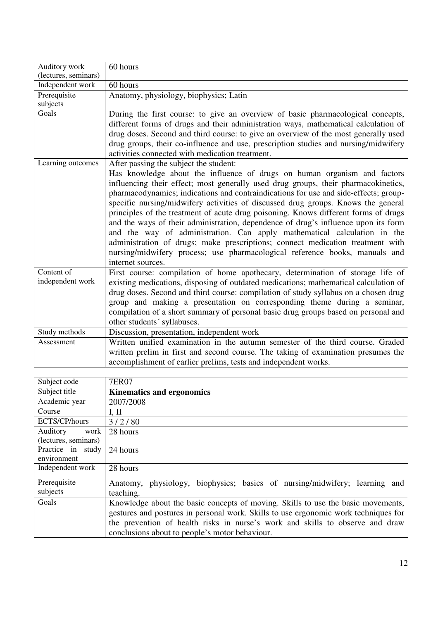| Auditory work<br>(lectures, seminars) | 60 hours                                                                                                                                                                                                                                                                                                                                                                                                                                                                                                                                                                                                                                                                                                                                                                                                                             |
|---------------------------------------|--------------------------------------------------------------------------------------------------------------------------------------------------------------------------------------------------------------------------------------------------------------------------------------------------------------------------------------------------------------------------------------------------------------------------------------------------------------------------------------------------------------------------------------------------------------------------------------------------------------------------------------------------------------------------------------------------------------------------------------------------------------------------------------------------------------------------------------|
| Independent work                      | 60 hours                                                                                                                                                                                                                                                                                                                                                                                                                                                                                                                                                                                                                                                                                                                                                                                                                             |
| Prerequisite                          | Anatomy, physiology, biophysics; Latin                                                                                                                                                                                                                                                                                                                                                                                                                                                                                                                                                                                                                                                                                                                                                                                               |
| subjects                              |                                                                                                                                                                                                                                                                                                                                                                                                                                                                                                                                                                                                                                                                                                                                                                                                                                      |
| Goals                                 | During the first course: to give an overview of basic pharmacological concepts,<br>different forms of drugs and their administration ways, mathematical calculation of<br>drug doses. Second and third course: to give an overview of the most generally used<br>drug groups, their co-influence and use, prescription studies and nursing/midwifery<br>activities connected with medication treatment.                                                                                                                                                                                                                                                                                                                                                                                                                              |
| Learning outcomes                     | After passing the subject the student:<br>Has knowledge about the influence of drugs on human organism and factors<br>influencing their effect; most generally used drug groups, their pharmacokinetics,<br>pharmacodynamics; indications and contraindications for use and side-effects; group-<br>specific nursing/midwifery activities of discussed drug groups. Knows the general<br>principles of the treatment of acute drug poisoning. Knows different forms of drugs<br>and the ways of their administration, dependence of drug's influence upon its form<br>and the way of administration. Can apply mathematical calculation in the<br>administration of drugs; make prescriptions; connect medication treatment with<br>nursing/midwifery process; use pharmacological reference books, manuals and<br>internet sources. |
| Content of<br>independent work        | First course: compilation of home apothecary, determination of storage life of<br>existing medications, disposing of outdated medications; mathematical calculation of<br>drug doses. Second and third course: compilation of study syllabus on a chosen drug<br>group and making a presentation on corresponding theme during a seminar,<br>compilation of a short summary of personal basic drug groups based on personal and<br>other students' syllabuses.                                                                                                                                                                                                                                                                                                                                                                       |
| Study methods                         | Discussion, presentation, independent work                                                                                                                                                                                                                                                                                                                                                                                                                                                                                                                                                                                                                                                                                                                                                                                           |
| Assessment                            | Written unified examination in the autumn semester of the third course. Graded<br>written prelim in first and second course. The taking of examination presumes the                                                                                                                                                                                                                                                                                                                                                                                                                                                                                                                                                                                                                                                                  |
|                                       | accomplishment of earlier prelims, tests and independent works.                                                                                                                                                                                                                                                                                                                                                                                                                                                                                                                                                                                                                                                                                                                                                                      |

| Subject code         | <b>7ER07</b>                                                                        |
|----------------------|-------------------------------------------------------------------------------------|
| Subject title        | <b>Kinematics and ergonomics</b>                                                    |
| Academic year        | 2007/2008                                                                           |
| Course               | I, II                                                                               |
| ECTS/CP/hours        | 3/2/80                                                                              |
| Auditory<br>work     | 28 hours                                                                            |
| (lectures, seminars) |                                                                                     |
| Practice in study    | 24 hours                                                                            |
| environment          |                                                                                     |
| Independent work     | 28 hours                                                                            |
| Prerequisite         | physiology, biophysics; basics of nursing/midwifery;<br>learning and<br>Anatomy,    |
| subjects             | teaching.                                                                           |
| Goals                | Knowledge about the basic concepts of moving. Skills to use the basic movements,    |
|                      | gestures and postures in personal work. Skills to use ergonomic work techniques for |
|                      | the prevention of health risks in nurse's work and skills to observe and draw       |
|                      | conclusions about to people's motor behaviour.                                      |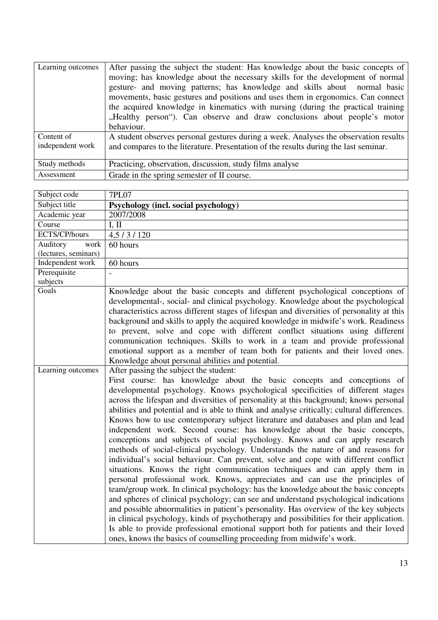| Learning outcomes              | After passing the subject the student: Has knowledge about the basic concepts of<br>moving; has knowledge about the necessary skills for the development of normal<br>gesture- and moving patterns; has knowledge and skills about normal basic<br>movements, basic gestures and positions and uses them in ergonomics. Can connect<br>the acquired knowledge in kinematics with nursing (during the practical training<br>"Healthy person"). Can observe and draw conclusions about people's motor<br>behaviour. |
|--------------------------------|-------------------------------------------------------------------------------------------------------------------------------------------------------------------------------------------------------------------------------------------------------------------------------------------------------------------------------------------------------------------------------------------------------------------------------------------------------------------------------------------------------------------|
| Content of<br>independent work | A student observes personal gestures during a week. Analyses the observation results<br>and compares to the literature. Presentation of the results during the last seminar.                                                                                                                                                                                                                                                                                                                                      |
| Study methods                  | Practicing, observation, discussion, study films analyse                                                                                                                                                                                                                                                                                                                                                                                                                                                          |
| Assessment                     | Grade in the spring semester of II course.                                                                                                                                                                                                                                                                                                                                                                                                                                                                        |

| Subject code             | 7PL07                                                                                                                                                                                                                                                                                                                                                                                                                                                                                                                                                                                                                                                                                                                                                                                                                                                                                                                                                                                                                                                                                                                                                                                                                                                                                                                                                                                                                                                                                                                 |
|--------------------------|-----------------------------------------------------------------------------------------------------------------------------------------------------------------------------------------------------------------------------------------------------------------------------------------------------------------------------------------------------------------------------------------------------------------------------------------------------------------------------------------------------------------------------------------------------------------------------------------------------------------------------------------------------------------------------------------------------------------------------------------------------------------------------------------------------------------------------------------------------------------------------------------------------------------------------------------------------------------------------------------------------------------------------------------------------------------------------------------------------------------------------------------------------------------------------------------------------------------------------------------------------------------------------------------------------------------------------------------------------------------------------------------------------------------------------------------------------------------------------------------------------------------------|
| Subject title            | Psychology (incl. social psychology)                                                                                                                                                                                                                                                                                                                                                                                                                                                                                                                                                                                                                                                                                                                                                                                                                                                                                                                                                                                                                                                                                                                                                                                                                                                                                                                                                                                                                                                                                  |
| Academic year            | 2007/2008                                                                                                                                                                                                                                                                                                                                                                                                                                                                                                                                                                                                                                                                                                                                                                                                                                                                                                                                                                                                                                                                                                                                                                                                                                                                                                                                                                                                                                                                                                             |
| Course                   | I, II                                                                                                                                                                                                                                                                                                                                                                                                                                                                                                                                                                                                                                                                                                                                                                                                                                                                                                                                                                                                                                                                                                                                                                                                                                                                                                                                                                                                                                                                                                                 |
| ECTS/CP/hours            | 4,5/3/120                                                                                                                                                                                                                                                                                                                                                                                                                                                                                                                                                                                                                                                                                                                                                                                                                                                                                                                                                                                                                                                                                                                                                                                                                                                                                                                                                                                                                                                                                                             |
| Auditory<br>work         | 60 hours                                                                                                                                                                                                                                                                                                                                                                                                                                                                                                                                                                                                                                                                                                                                                                                                                                                                                                                                                                                                                                                                                                                                                                                                                                                                                                                                                                                                                                                                                                              |
| (lectures, seminars)     |                                                                                                                                                                                                                                                                                                                                                                                                                                                                                                                                                                                                                                                                                                                                                                                                                                                                                                                                                                                                                                                                                                                                                                                                                                                                                                                                                                                                                                                                                                                       |
| Independent work         | 60 hours                                                                                                                                                                                                                                                                                                                                                                                                                                                                                                                                                                                                                                                                                                                                                                                                                                                                                                                                                                                                                                                                                                                                                                                                                                                                                                                                                                                                                                                                                                              |
| Prerequisite<br>subjects |                                                                                                                                                                                                                                                                                                                                                                                                                                                                                                                                                                                                                                                                                                                                                                                                                                                                                                                                                                                                                                                                                                                                                                                                                                                                                                                                                                                                                                                                                                                       |
| Goals                    | Knowledge about the basic concepts and different psychological conceptions of<br>developmental-, social- and clinical psychology. Knowledge about the psychological<br>characteristics across different stages of lifespan and diversities of personality at this<br>background and skills to apply the acquired knowledge in midwife's work. Readiness<br>to prevent, solve and cope with different conflict situations using different<br>communication techniques. Skills to work in a team and provide professional<br>emotional support as a member of team both for patients and their loved ones.<br>Knowledge about personal abilities and potential.                                                                                                                                                                                                                                                                                                                                                                                                                                                                                                                                                                                                                                                                                                                                                                                                                                                         |
| Learning outcomes        | After passing the subject the student:<br>First course: has knowledge about the basic concepts and conceptions of<br>developmental psychology. Knows psychological specificities of different stages<br>across the lifespan and diversities of personality at this background; knows personal<br>abilities and potential and is able to think and analyse critically; cultural differences.<br>Knows how to use contemporary subject literature and databases and plan and lead<br>independent work. Second course: has knowledge about the basic concepts,<br>conceptions and subjects of social psychology. Knows and can apply research<br>methods of social-clinical psychology. Understands the nature of and reasons for<br>individual's social behaviour. Can prevent, solve and cope with different conflict<br>situations. Knows the right communication techniques and can apply them in<br>personal professional work. Knows, appreciates and can use the principles of<br>team/group work. In clinical psychology: has the knowledge about the basic concepts<br>and spheres of clinical psychology; can see and understand psychological indications<br>and possible abnormalities in patient's personality. Has overview of the key subjects<br>in clinical psychology, kinds of psychotherapy and possibilities for their application.<br>Is able to provide professional emotional support both for patients and their loved<br>ones, knows the basics of counselling proceeding from midwife's work. |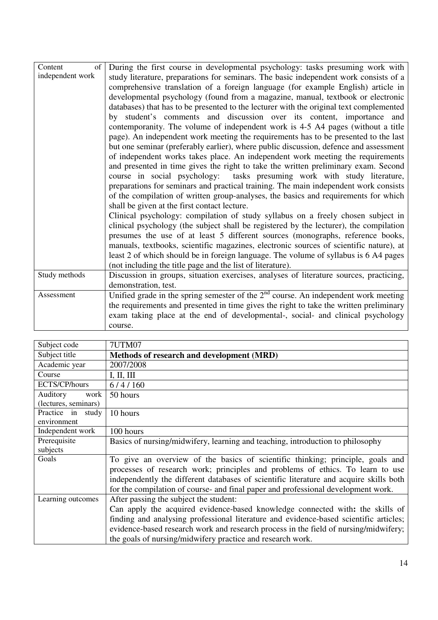| Content<br>of    | During the first course in developmental psychology: tasks presuming work with          |
|------------------|-----------------------------------------------------------------------------------------|
| independent work | study literature, preparations for seminars. The basic independent work consists of a   |
|                  | comprehensive translation of a foreign language (for example English) article in        |
|                  | developmental psychology (found from a magazine, manual, textbook or electronic         |
|                  | databases) that has to be presented to the lecturer with the original text complemented |
|                  | by student's comments and discussion over its content, importance and                   |
|                  | contemporanity. The volume of independent work is 4-5 A4 pages (without a title         |
|                  | page). An independent work meeting the requirements has to be presented to the last     |
|                  | but one seminar (preferably earlier), where public discussion, defence and assessment   |
|                  | of independent works takes place. An independent work meeting the requirements          |
|                  | and presented in time gives the right to take the written preliminary exam. Second      |
|                  | course in social psychology: tasks presuming work with study literature,                |
|                  | preparations for seminars and practical training. The main independent work consists    |
|                  | of the compilation of written group-analyses, the basics and requirements for which     |
|                  | shall be given at the first contact lecture.                                            |
|                  | Clinical psychology: compilation of study syllabus on a freely chosen subject in        |
|                  | clinical psychology (the subject shall be registered by the lecturer), the compilation  |
|                  | presumes the use of at least 5 different sources (monographs, reference books,          |
|                  | manuals, textbooks, scientific magazines, electronic sources of scientific nature), at  |
|                  | least 2 of which should be in foreign language. The volume of syllabus is 6 A4 pages    |
|                  | (not including the title page and the list of literature).                              |
| Study methods    | Discussion in groups, situation exercises, analyses of literature sources, practicing,  |
|                  | demonstration, test.                                                                    |
| Assessment       | Unified grade in the spring semester of the $2nd$ course. An independent work meeting   |
|                  | the requirements and presented in time gives the right to take the written preliminary  |
|                  | exam taking place at the end of developmental-, social- and clinical psychology         |
|                  | course.                                                                                 |

| Subject code         | 7UTM07                                                                                 |
|----------------------|----------------------------------------------------------------------------------------|
| Subject title        | Methods of research and development (MRD)                                              |
| Academic year        | 2007/2008                                                                              |
| Course               | I, II, III                                                                             |
| ECTS/CP/hours        | 6/4/160                                                                                |
| Auditory<br>work     | 50 hours                                                                               |
| (lectures, seminars) |                                                                                        |
| Practice in study    | 10 hours                                                                               |
| environment          |                                                                                        |
| Independent work     | 100 hours                                                                              |
| Prerequisite         | Basics of nursing/midwifery, learning and teaching, introduction to philosophy         |
| subjects             |                                                                                        |
| Goals                | To give an overview of the basics of scientific thinking; principle, goals and         |
|                      | processes of research work; principles and problems of ethics. To learn to use         |
|                      | independently the different databases of scientific literature and acquire skills both |
|                      | for the compilation of course- and final paper and professional development work.      |
| Learning outcomes    | After passing the subject the student:                                                 |
|                      | Can apply the acquired evidence-based knowledge connected with: the skills of          |
|                      | finding and analysing professional literature and evidence-based scientific articles;  |
|                      | evidence-based research work and research process in the field of nursing/midwifery;   |
|                      | the goals of nursing/midwifery practice and research work.                             |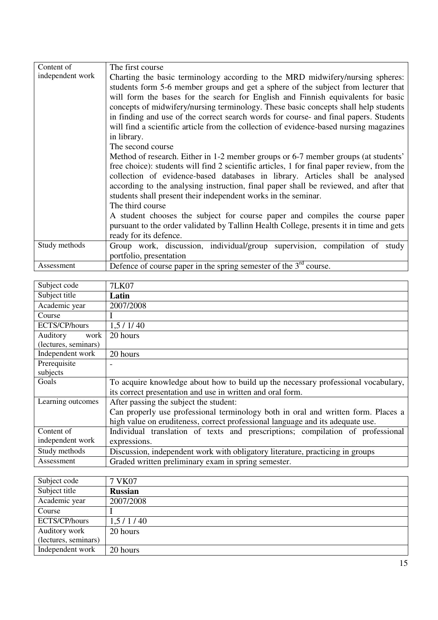| Content of       | The first course                                                                                                                                                                                                                                                                                                                                                                                                                                                                                                                                                                                                                                                                                                                                                                                                                                                                                                                                                                                                                                                                                                                                                                                      |
|------------------|-------------------------------------------------------------------------------------------------------------------------------------------------------------------------------------------------------------------------------------------------------------------------------------------------------------------------------------------------------------------------------------------------------------------------------------------------------------------------------------------------------------------------------------------------------------------------------------------------------------------------------------------------------------------------------------------------------------------------------------------------------------------------------------------------------------------------------------------------------------------------------------------------------------------------------------------------------------------------------------------------------------------------------------------------------------------------------------------------------------------------------------------------------------------------------------------------------|
| independent work | Charting the basic terminology according to the MRD midwifery/nursing spheres:<br>students form 5-6 member groups and get a sphere of the subject from lecturer that<br>will form the bases for the search for English and Finnish equivalents for basic<br>concepts of midwifery/nursing terminology. These basic concepts shall help students<br>in finding and use of the correct search words for course- and final papers. Students<br>will find a scientific article from the collection of evidence-based nursing magazines<br>in library.<br>The second course<br>Method of research. Either in 1-2 member groups or 6-7 member groups (at students'<br>free choice): students will find 2 scientific articles, 1 for final paper review, from the<br>collection of evidence-based databases in library. Articles shall be analysed<br>according to the analysing instruction, final paper shall be reviewed, and after that<br>students shall present their independent works in the seminar.<br>The third course<br>A student chooses the subject for course paper and compiles the course paper<br>pursuant to the order validated by Tallinn Health College, presents it in time and gets |
|                  | ready for its defence.                                                                                                                                                                                                                                                                                                                                                                                                                                                                                                                                                                                                                                                                                                                                                                                                                                                                                                                                                                                                                                                                                                                                                                                |
| Study methods    | Group work, discussion, individual/group supervision, compilation of study<br>portfolio, presentation                                                                                                                                                                                                                                                                                                                                                                                                                                                                                                                                                                                                                                                                                                                                                                                                                                                                                                                                                                                                                                                                                                 |
| Assessment       | Defence of course paper in the spring semester of the $3rd$ course.                                                                                                                                                                                                                                                                                                                                                                                                                                                                                                                                                                                                                                                                                                                                                                                                                                                                                                                                                                                                                                                                                                                                   |

| Subject code         | 7LK07                                                                             |
|----------------------|-----------------------------------------------------------------------------------|
| Subject title        | Latin                                                                             |
| Academic year        | 2007/2008                                                                         |
| Course               |                                                                                   |
| ECTS/CP/hours        | 1,5/1/40                                                                          |
| Auditory<br>work     | 20 hours                                                                          |
| (lectures, seminars) |                                                                                   |
| Independent work     | 20 hours                                                                          |
| Prerequisite         |                                                                                   |
| subjects             |                                                                                   |
| Goals                | To acquire knowledge about how to build up the necessary professional vocabulary, |
|                      | its correct presentation and use in written and oral form.                        |
| Learning outcomes    | After passing the subject the student:                                            |
|                      | Can properly use professional terminology both in oral and written form. Places a |
|                      | high value on eruditeness, correct professional language and its adequate use.    |
| Content of           | Individual translation of texts and prescriptions; compilation of professional    |
| independent work     | expressions.                                                                      |
| Study methods        | Discussion, independent work with obligatory literature, practicing in groups     |
| Assessment           | Graded written preliminary exam in spring semester.                               |

| Subject code         | 7 VK07         |
|----------------------|----------------|
| Subject title        | <b>Russian</b> |
| Academic year        | 2007/2008      |
| Course               |                |
| ECTS/CP/hours        | 1,5/1/40       |
| Auditory work        | 20 hours       |
| (lectures, seminars) |                |
| Independent work     | 20 hours       |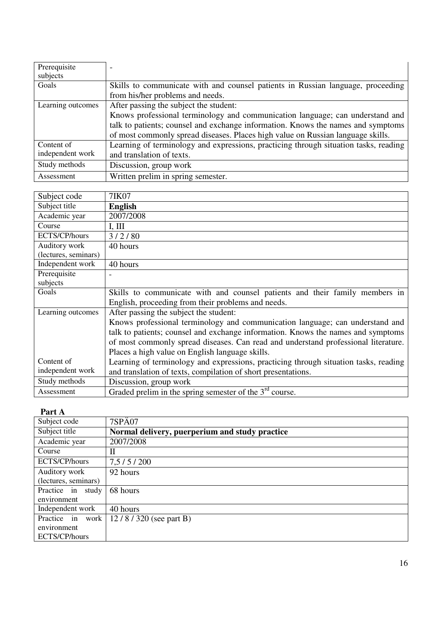| Prerequisite      | -                                                                                    |
|-------------------|--------------------------------------------------------------------------------------|
| subjects          |                                                                                      |
| Goals             | Skills to communicate with and counsel patients in Russian language, proceeding      |
|                   | from his/her problems and needs.                                                     |
| Learning outcomes | After passing the subject the student:                                               |
|                   | Knows professional terminology and communication language; can understand and        |
|                   | talk to patients; counsel and exchange information. Knows the names and symptoms     |
|                   | of most commonly spread diseases. Places high value on Russian language skills.      |
| Content of        | Learning of terminology and expressions, practicing through situation tasks, reading |
| independent work  | and translation of texts.                                                            |
| Study methods     | Discussion, group work                                                               |
| Assessment        | Written prelim in spring semester.                                                   |

| Subject code         | 7IK07                                                                                |
|----------------------|--------------------------------------------------------------------------------------|
| Subject title        | <b>English</b>                                                                       |
| Academic year        | 2007/2008                                                                            |
| Course               | I, III                                                                               |
| ECTS/CP/hours        | 3/2/80                                                                               |
| Auditory work        | 40 hours                                                                             |
| (lectures, seminars) |                                                                                      |
| Independent work     | 40 hours                                                                             |
| Prerequisite         |                                                                                      |
| subjects             |                                                                                      |
| Goals                | Skills to communicate with and counsel patients and their family members in          |
|                      | English, proceeding from their problems and needs.                                   |
| Learning outcomes    | After passing the subject the student:                                               |
|                      | Knows professional terminology and communication language; can understand and        |
|                      | talk to patients; counsel and exchange information. Knows the names and symptoms     |
|                      | of most commonly spread diseases. Can read and understand professional literature.   |
|                      | Places a high value on English language skills.                                      |
| Content of           | Learning of terminology and expressions, practicing through situation tasks, reading |
| independent work     | and translation of texts, compilation of short presentations.                        |
| Study methods        | Discussion, group work                                                               |
| Assessment           | Graded prelim in the spring semester of the $3rd$ course.                            |

| 1 U.L V 7 1          |                                                |
|----------------------|------------------------------------------------|
| Subject code         | <b>7SPÄ07</b>                                  |
| Subject title        | Normal delivery, puerperium and study practice |
| Academic year        | 2007/2008                                      |
| Course               | Н                                              |
| ECTS/CP/hours        | 7,5/5/200                                      |
| Auditory work        | 92 hours                                       |
| (lectures, seminars) |                                                |
| Practice in study    | 68 hours                                       |
| environment          |                                                |
| Independent work     | 40 hours                                       |
| Practice in work     | $12/8/320$ (see part B)                        |
| environment          |                                                |
| ECTS/CP/hours        |                                                |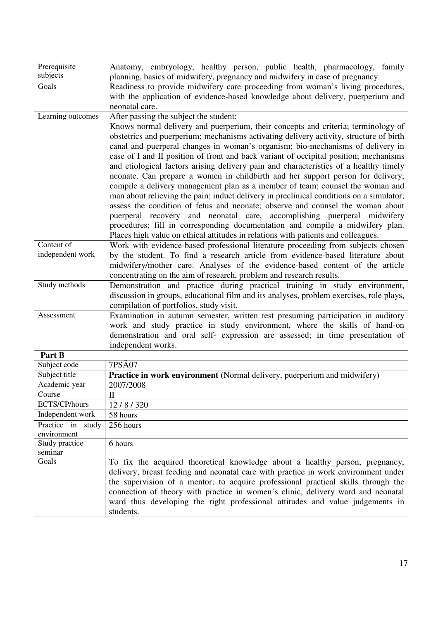| Prerequisite<br>subjects | Anatomy, embryology, healthy person, public health, pharmacology, family                |
|--------------------------|-----------------------------------------------------------------------------------------|
|                          | planning, basics of midwifery, pregnancy and midwifery in case of pregnancy.            |
| Goals                    | Readiness to provide midwifery care proceeding from woman's living procedures,          |
|                          | with the application of evidence-based knowledge about delivery, puerperium and         |
|                          | neonatal care.                                                                          |
| Learning outcomes        | After passing the subject the student:                                                  |
|                          | Knows normal delivery and puerperium, their concepts and criteria; terminology of       |
|                          | obstetrics and puerperium; mechanisms activating delivery activity, structure of birth  |
|                          | canal and puerperal changes in woman's organism; bio-mechanisms of delivery in          |
|                          | case of I and II position of front and back variant of occipital position; mechanisms   |
|                          | and etiological factors arising delivery pain and characteristics of a healthy timely   |
|                          | neonate. Can prepare a women in childbirth and her support person for delivery;         |
|                          | compile a delivery management plan as a member of team; counsel the woman and           |
|                          | man about relieving the pain; induct delivery in preclinical conditions on a simulator; |
|                          | assess the condition of fetus and neonate; observe and counsel the woman about          |
|                          | puerperal recovery and neonatal care, accomplishing puerperal midwifery                 |
|                          | procedures; fill in corresponding documentation and compile a midwifery plan.           |
|                          | Places high value on ethical attitudes in relations with patients and colleagues.       |
| Content of               |                                                                                         |
| independent work         | Work with evidence-based professional literature proceeding from subjects chosen        |
|                          | by the student. To find a research article from evidence-based literature about         |
|                          | midwifery/mother care. Analyses of the evidence-based content of the article            |
|                          | concentrating on the aim of research, problem and research results.                     |
| Study methods            | Demonstration and practice during practical training in study environment,              |
|                          | discussion in groups, educational film and its analyses, problem exercises, role plays, |
|                          | compilation of portfolios, study visit.                                                 |
| Assessment               | Examination in autumn semester, written test presuming participation in auditory        |
|                          | work and study practice in study environment, where the skills of hand-on               |
|                          | demonstration and oral self- expression are assessed; in time presentation of           |
|                          | independent works.                                                                      |
| Part B                   |                                                                                         |

| t al UD           |                                                                                    |
|-------------------|------------------------------------------------------------------------------------|
| Subject code      | 7PSA07                                                                             |
| Subject title     | Practice in work environment (Normal delivery, puerperium and midwifery)           |
| Academic year     | 2007/2008                                                                          |
| Course            | H                                                                                  |
| ECTS/CP/hours     | 12/8/320                                                                           |
| Independent work  | 58 hours                                                                           |
| Practice in study | 256 hours                                                                          |
| environment       |                                                                                    |
| Study practice    | 6 hours                                                                            |
| seminar           |                                                                                    |
| Goals             | To fix the acquired theoretical knowledge about a healthy person, pregnancy,       |
|                   | delivery, breast feeding and neonatal care with practice in work environment under |
|                   | the supervision of a mentor; to acquire professional practical skills through the  |
|                   | connection of theory with practice in women's clinic, delivery ward and neonatal   |
|                   | ward thus developing the right professional attitudes and value judgements in      |
|                   | students.                                                                          |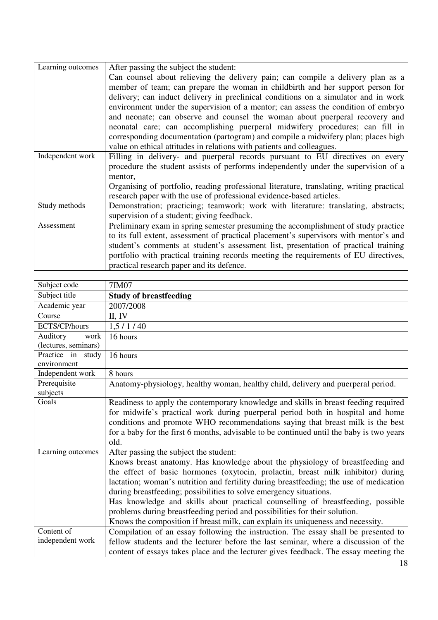| Learning outcomes | After passing the subject the student:                                                   |
|-------------------|------------------------------------------------------------------------------------------|
|                   | Can counsel about relieving the delivery pain; can compile a delivery plan as a          |
|                   | member of team; can prepare the woman in childbirth and her support person for           |
|                   | delivery; can induct delivery in preclinical conditions on a simulator and in work       |
|                   | environment under the supervision of a mentor; can assess the condition of embryo        |
|                   | and neonate; can observe and counsel the woman about puerperal recovery and              |
|                   | neonatal care; can accomplishing puerperal midwifery procedures; can fill in             |
|                   | corresponding documentation (partogram) and compile a midwifery plan; places high        |
|                   | value on ethical attitudes in relations with patients and colleagues.                    |
| Independent work  | Filling in delivery- and puerperal records pursuant to EU directives on every            |
|                   | procedure the student assists of performs independently under the supervision of a       |
|                   | mentor,                                                                                  |
|                   | Organising of portfolio, reading professional literature, translating, writing practical |
|                   | research paper with the use of professional evidence-based articles.                     |
| Study methods     | Demonstration; practicing; teamwork; work with literature: translating, abstracts;       |
|                   | supervision of a student; giving feedback.                                               |
| Assessment        | Preliminary exam in spring semester presuming the accomplishment of study practice       |
|                   | to its full extent, assessment of practical placement's supervisors with mentor's and    |
|                   | student's comments at student's assessment list, presentation of practical training      |
|                   | portfolio with practical training records meeting the requirements of EU directives,     |
|                   | practical research paper and its defence.                                                |

| Subject code                             | 7IM07                                                                                                                                                                                                                                                                                                                                                                                                                                                                                                                                                                                                                           |
|------------------------------------------|---------------------------------------------------------------------------------------------------------------------------------------------------------------------------------------------------------------------------------------------------------------------------------------------------------------------------------------------------------------------------------------------------------------------------------------------------------------------------------------------------------------------------------------------------------------------------------------------------------------------------------|
| Subject title                            | <b>Study of breastfeeding</b>                                                                                                                                                                                                                                                                                                                                                                                                                                                                                                                                                                                                   |
| Academic year                            | 2007/2008                                                                                                                                                                                                                                                                                                                                                                                                                                                                                                                                                                                                                       |
| Course                                   | II, IV                                                                                                                                                                                                                                                                                                                                                                                                                                                                                                                                                                                                                          |
| ECTS/CP/hours                            | 1,5/1/40                                                                                                                                                                                                                                                                                                                                                                                                                                                                                                                                                                                                                        |
| Auditory<br>work<br>(lectures, seminars) | 16 hours                                                                                                                                                                                                                                                                                                                                                                                                                                                                                                                                                                                                                        |
| Practice in study<br>environment         | 16 hours                                                                                                                                                                                                                                                                                                                                                                                                                                                                                                                                                                                                                        |
| Independent work                         | 8 hours                                                                                                                                                                                                                                                                                                                                                                                                                                                                                                                                                                                                                         |
| Prerequisite<br>subjects                 | Anatomy-physiology, healthy woman, healthy child, delivery and puerperal period.                                                                                                                                                                                                                                                                                                                                                                                                                                                                                                                                                |
| Goals                                    | Readiness to apply the contemporary knowledge and skills in breast feeding required<br>for midwife's practical work during puerperal period both in hospital and home<br>conditions and promote WHO recommendations saying that breast milk is the best<br>for a baby for the first 6 months, advisable to be continued until the baby is two years<br>old.                                                                                                                                                                                                                                                                     |
| Learning outcomes                        | After passing the subject the student:<br>Knows breast anatomy. Has knowledge about the physiology of breastfeeding and<br>the effect of basic hormones (oxytocin, prolactin, breast milk inhibitor) during<br>lactation; woman's nutrition and fertility during breastfeeding; the use of medication<br>during breastfeeding; possibilities to solve emergency situations.<br>Has knowledge and skills about practical counselling of breastfeeding, possible<br>problems during breastfeeding period and possibilities for their solution.<br>Knows the composition if breast milk, can explain its uniqueness and necessity. |
| Content of<br>independent work           | Compilation of an essay following the instruction. The essay shall be presented to<br>fellow students and the lecturer before the last seminar, where a discussion of the<br>content of essays takes place and the lecturer gives feedback. The essay meeting the                                                                                                                                                                                                                                                                                                                                                               |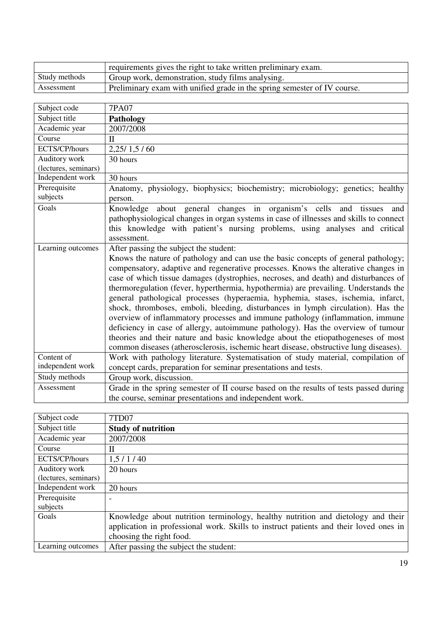|               | requirements gives the right to take written preliminary exam.           |
|---------------|--------------------------------------------------------------------------|
| Study methods | Group work, demonstration, study films analysing.                        |
| Assessment    | Preliminary exam with unified grade in the spring semester of IV course. |

| Subject code         | <b>7PA07</b>                                                                           |
|----------------------|----------------------------------------------------------------------------------------|
| Subject title        | <b>Pathology</b>                                                                       |
| Academic year        | 2007/2008                                                                              |
| Course               | $\mathbf{I}$                                                                           |
| ECTS/CP/hours        | 2,25/1,5/60                                                                            |
| Auditory work        | 30 hours                                                                               |
| (lectures, seminars) |                                                                                        |
| Independent work     | 30 hours                                                                               |
| Prerequisite         | Anatomy, physiology, biophysics; biochemistry; microbiology; genetics; healthy         |
| subjects             | person.                                                                                |
| Goals                | Knowledge about general changes in organism's cells and tissues<br>and                 |
|                      | pathophysiological changes in organ systems in case of illnesses and skills to connect |
|                      | this knowledge with patient's nursing problems, using analyses and critical            |
|                      | assessment.                                                                            |
| Learning outcomes    | After passing the subject the student:                                                 |
|                      | Knows the nature of pathology and can use the basic concepts of general pathology;     |
|                      | compensatory, adaptive and regenerative processes. Knows the alterative changes in     |
|                      | case of which tissue damages (dystrophies, necroses, and death) and disturbances of    |
|                      | thermoregulation (fever, hyperthermia, hypothermia) are prevailing. Understands the    |
|                      | general pathological processes (hyperaemia, hyphemia, stases, ischemia, infarct,       |
|                      | shock, thromboses, emboli, bleeding, disturbances in lymph circulation). Has the       |
|                      | overview of inflammatory processes and immune pathology (inflammation, immune          |
|                      | deficiency in case of allergy, autoimmune pathology). Has the overview of tumour       |
|                      | theories and their nature and basic knowledge about the etiopathogeneses of most       |
|                      | common diseases (atherosclerosis, ischemic heart disease, obstructive lung diseases).  |
| Content of           | Work with pathology literature. Systematisation of study material, compilation of      |
| independent work     | concept cards, preparation for seminar presentations and tests.                        |
| Study methods        | Group work, discussion.                                                                |
| Assessment           | Grade in the spring semester of II course based on the results of tests passed during  |
|                      | the course, seminar presentations and independent work.                                |

| Subject code         | 7TD07                                                                                 |
|----------------------|---------------------------------------------------------------------------------------|
| Subject title        | <b>Study of nutrition</b>                                                             |
| Academic year        | 2007/2008                                                                             |
| Course               | П                                                                                     |
| ECTS/CP/hours        | 1,5/1/40                                                                              |
| Auditory work        | 20 hours                                                                              |
| (lectures, seminars) |                                                                                       |
| Independent work     | 20 hours                                                                              |
| Prerequisite         |                                                                                       |
| subjects             |                                                                                       |
| Goals                | Knowledge about nutrition terminology, healthy nutrition and dietology and their      |
|                      | application in professional work. Skills to instruct patients and their loved ones in |
|                      | choosing the right food.                                                              |
| Learning outcomes    | After passing the subject the student:                                                |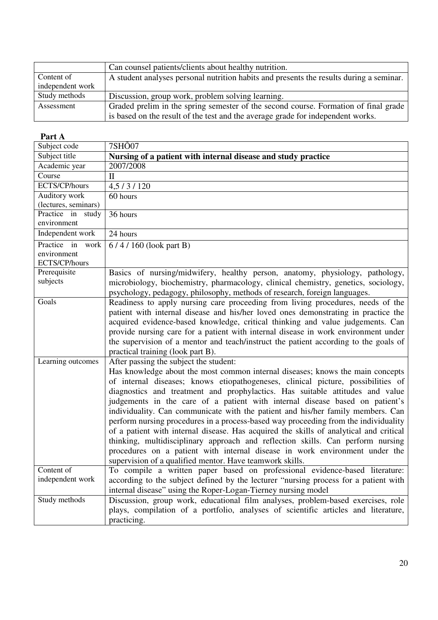|                  | Can counsel patients/clients about healthy nutrition.                                   |
|------------------|-----------------------------------------------------------------------------------------|
| Content of       | A student analyses personal nutrition habits and presents the results during a seminar. |
| independent work |                                                                                         |
|                  |                                                                                         |
| Study methods    | Discussion, group work, problem solving learning.                                       |
| Assessment       | Graded prelim in the spring semester of the second course. Formation of final grade     |

| Part A                                              |                                                                                                                                                                                                                                                                                                                                                                                                                                                                                                                                                                                                                                                                                                                                                                                                                                                                                 |
|-----------------------------------------------------|---------------------------------------------------------------------------------------------------------------------------------------------------------------------------------------------------------------------------------------------------------------------------------------------------------------------------------------------------------------------------------------------------------------------------------------------------------------------------------------------------------------------------------------------------------------------------------------------------------------------------------------------------------------------------------------------------------------------------------------------------------------------------------------------------------------------------------------------------------------------------------|
| Subject code                                        | 7SH <sub>O</sub> 07                                                                                                                                                                                                                                                                                                                                                                                                                                                                                                                                                                                                                                                                                                                                                                                                                                                             |
| Subject title                                       | Nursing of a patient with internal disease and study practice                                                                                                                                                                                                                                                                                                                                                                                                                                                                                                                                                                                                                                                                                                                                                                                                                   |
| Academic year                                       | 2007/2008                                                                                                                                                                                                                                                                                                                                                                                                                                                                                                                                                                                                                                                                                                                                                                                                                                                                       |
| Course                                              | $\mathbf{I}$                                                                                                                                                                                                                                                                                                                                                                                                                                                                                                                                                                                                                                                                                                                                                                                                                                                                    |
| ECTS/CP/hours                                       | 4,5/3/120                                                                                                                                                                                                                                                                                                                                                                                                                                                                                                                                                                                                                                                                                                                                                                                                                                                                       |
| Auditory work                                       | 60 hours                                                                                                                                                                                                                                                                                                                                                                                                                                                                                                                                                                                                                                                                                                                                                                                                                                                                        |
| (lectures, seminars)                                |                                                                                                                                                                                                                                                                                                                                                                                                                                                                                                                                                                                                                                                                                                                                                                                                                                                                                 |
| Practice in study<br>environment                    | 36 hours                                                                                                                                                                                                                                                                                                                                                                                                                                                                                                                                                                                                                                                                                                                                                                                                                                                                        |
| Independent work                                    | 24 hours                                                                                                                                                                                                                                                                                                                                                                                                                                                                                                                                                                                                                                                                                                                                                                                                                                                                        |
| Practice in<br>work<br>environment<br>ECTS/CP/hours | $6/4/160$ (look part B)                                                                                                                                                                                                                                                                                                                                                                                                                                                                                                                                                                                                                                                                                                                                                                                                                                                         |
| Prerequisite<br>subjects                            | Basics of nursing/midwifery, healthy person, anatomy, physiology, pathology,<br>microbiology, biochemistry, pharmacology, clinical chemistry, genetics, sociology,<br>psychology, pedagogy, philosophy, methods of research, foreign languages.                                                                                                                                                                                                                                                                                                                                                                                                                                                                                                                                                                                                                                 |
| Goals                                               | Readiness to apply nursing care proceeding from living procedures, needs of the<br>patient with internal disease and his/her loved ones demonstrating in practice the<br>acquired evidence-based knowledge, critical thinking and value judgements. Can<br>provide nursing care for a patient with internal disease in work environment under<br>the supervision of a mentor and teach/instruct the patient according to the goals of<br>practical training (look part B).                                                                                                                                                                                                                                                                                                                                                                                                      |
| Learning outcomes                                   | After passing the subject the student:<br>Has knowledge about the most common internal diseases; knows the main concepts<br>of internal diseases; knows etiopathogeneses, clinical picture, possibilities of<br>diagnostics and treatment and prophylactics. Has suitable attitudes and value<br>judgements in the care of a patient with internal disease based on patient's<br>individuality. Can communicate with the patient and his/her family members. Can<br>perform nursing procedures in a process-based way proceeding from the individuality<br>of a patient with internal disease. Has acquired the skills of analytical and critical<br>thinking, multidisciplinary approach and reflection skills. Can perform nursing<br>procedures on a patient with internal disease in work environment under the<br>supervision of a qualified mentor. Have teamwork skills. |
| Content of                                          | To compile a written paper based on professional evidence-based literature:                                                                                                                                                                                                                                                                                                                                                                                                                                                                                                                                                                                                                                                                                                                                                                                                     |
| independent work                                    | according to the subject defined by the lecturer "nursing process for a patient with<br>internal disease" using the Roper-Logan-Tierney nursing model                                                                                                                                                                                                                                                                                                                                                                                                                                                                                                                                                                                                                                                                                                                           |
| Study methods                                       | Discussion, group work, educational film analyses, problem-based exercises, role                                                                                                                                                                                                                                                                                                                                                                                                                                                                                                                                                                                                                                                                                                                                                                                                |
|                                                     | plays, compilation of a portfolio, analyses of scientific articles and literature,<br>practicing.                                                                                                                                                                                                                                                                                                                                                                                                                                                                                                                                                                                                                                                                                                                                                                               |
|                                                     |                                                                                                                                                                                                                                                                                                                                                                                                                                                                                                                                                                                                                                                                                                                                                                                                                                                                                 |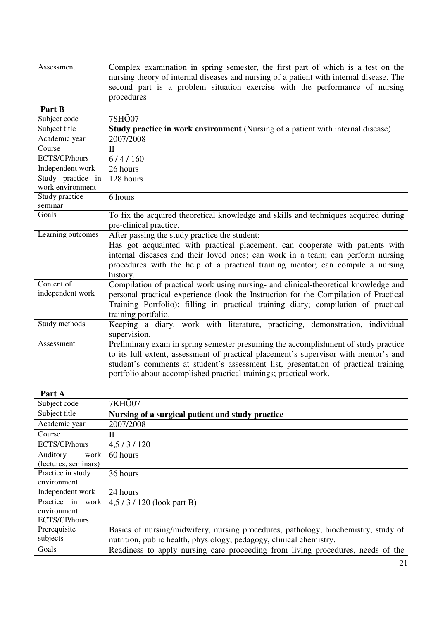| Assessment | Complex examination in spring semester, the first part of which is a test on the          |
|------------|-------------------------------------------------------------------------------------------|
|            | mursing theory of internal diseases and nursing of a patient with internal disease. The   |
|            | second part is a problem situation exercise with the performance of nursing<br>procedures |

| Part B                                |                                                                                                                                                                                                                                                                                                                                        |
|---------------------------------------|----------------------------------------------------------------------------------------------------------------------------------------------------------------------------------------------------------------------------------------------------------------------------------------------------------------------------------------|
| Subject code                          | 7SHÕ07                                                                                                                                                                                                                                                                                                                                 |
| Subject title                         | Study practice in work environment (Nursing of a patient with internal disease)                                                                                                                                                                                                                                                        |
| Academic year                         | 2007/2008                                                                                                                                                                                                                                                                                                                              |
| Course                                | $\mathbf{I}$                                                                                                                                                                                                                                                                                                                           |
| ECTS/CP/hours                         | 6/4/160                                                                                                                                                                                                                                                                                                                                |
| Independent work                      | 26 hours                                                                                                                                                                                                                                                                                                                               |
| Study practice in<br>work environment | 128 hours                                                                                                                                                                                                                                                                                                                              |
| Study practice<br>seminar             | 6 hours                                                                                                                                                                                                                                                                                                                                |
| Goals                                 | To fix the acquired theoretical knowledge and skills and techniques acquired during<br>pre-clinical practice.                                                                                                                                                                                                                          |
| Learning outcomes                     | After passing the study practice the student:<br>Has got acquainted with practical placement; can cooperate with patients with<br>internal diseases and their loved ones; can work in a team; can perform nursing<br>procedures with the help of a practical training mentor; can compile a nursing<br>history.                        |
| Content of<br>independent work        | Compilation of practical work using nursing- and clinical-theoretical knowledge and<br>personal practical experience (look the Instruction for the Compilation of Practical<br>Training Portfolio); filling in practical training diary; compilation of practical<br>training portfolio.                                               |
| Study methods                         | Keeping a diary, work with literature, practicing, demonstration, individual<br>supervision.                                                                                                                                                                                                                                           |
| Assessment                            | Preliminary exam in spring semester presuming the accomplishment of study practice<br>to its full extent, assessment of practical placement's supervisor with mentor's and<br>student's comments at student's assessment list, presentation of practical training<br>portfolio about accomplished practical trainings; practical work. |

| 1 ai l A             |                                                                                    |
|----------------------|------------------------------------------------------------------------------------|
| Subject code         | 7KHO07                                                                             |
| Subject title        | Nursing of a surgical patient and study practice                                   |
| Academic year        | 2007/2008                                                                          |
| Course               | П                                                                                  |
| ECTS/CP/hours        | 4,5/3/120                                                                          |
| Auditory<br>work     | 60 hours                                                                           |
| (lectures, seminars) |                                                                                    |
| Practice in study    | 36 hours                                                                           |
| environment          |                                                                                    |
| Independent work     | 24 hours                                                                           |
| Practice in work     | $4,5/3/120$ (look part B)                                                          |
| environment          |                                                                                    |
| ECTS/CP/hours        |                                                                                    |
| Prerequisite         | Basics of nursing/midwifery, nursing procedures, pathology, biochemistry, study of |
| subjects             | nutrition, public health, physiology, pedagogy, clinical chemistry.                |
| Goals                | Readiness to apply nursing care proceeding from living procedures, needs of the    |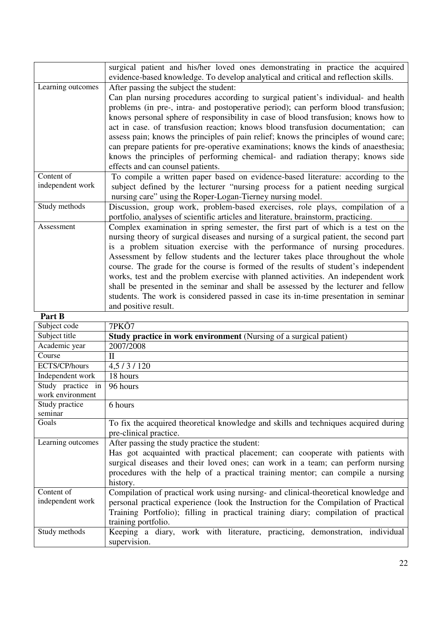|                       | surgical patient and his/her loved ones demonstrating in practice the acquired         |
|-----------------------|----------------------------------------------------------------------------------------|
|                       | evidence-based knowledge. To develop analytical and critical and reflection skills.    |
| Learning outcomes     | After passing the subject the student:                                                 |
|                       | Can plan nursing procedures according to surgical patient's individual- and health     |
|                       | problems (in pre-, intra- and postoperative period); can perform blood transfusion;    |
|                       | knows personal sphere of responsibility in case of blood transfusion; knows how to     |
|                       | act in case, of transfusion reaction; knows blood transfusion documentation; can       |
|                       | assess pain; knows the principles of pain relief; knows the principles of wound care;  |
|                       | can prepare patients for pre-operative examinations; knows the kinds of anaesthesia;   |
|                       | knows the principles of performing chemical- and radiation therapy; knows side         |
|                       | effects and can counsel patients.                                                      |
| Content of            | To compile a written paper based on evidence-based literature: according to the        |
| independent work      | subject defined by the lecturer "nursing process for a patient needing surgical        |
|                       | nursing care" using the Roper-Logan-Tierney nursing model.                             |
| Study methods         | Discussion, group work, problem-based exercises, role plays, compilation of a          |
|                       | portfolio, analyses of scientific articles and literature, brainstorm, practicing.     |
| Assessment            | Complex examination in spring semester, the first part of which is a test on the       |
|                       | nursing theory of surgical diseases and nursing of a surgical patient, the second part |
|                       | is a problem situation exercise with the performance of nursing procedures.            |
|                       | Assessment by fellow students and the lecturer takes place throughout the whole        |
|                       | course. The grade for the course is formed of the results of student's independent     |
|                       | works, test and the problem exercise with planned activities. An independent work      |
|                       | shall be presented in the seminar and shall be assessed by the lecturer and fellow     |
|                       | students. The work is considered passed in case its in-time presentation in seminar    |
|                       | and positive result.                                                                   |
| $D_{\alpha}$ with $D$ |                                                                                        |

| Part B                                |                                                                                                                                                                                                                                                                                                                 |
|---------------------------------------|-----------------------------------------------------------------------------------------------------------------------------------------------------------------------------------------------------------------------------------------------------------------------------------------------------------------|
| Subject code                          | 7PKÕ7                                                                                                                                                                                                                                                                                                           |
| Subject title                         | <b>Study practice in work environment</b> (Nursing of a surgical patient)                                                                                                                                                                                                                                       |
| Academic year                         | 2007/2008                                                                                                                                                                                                                                                                                                       |
| Course                                | $\mathbf{I}$                                                                                                                                                                                                                                                                                                    |
| ECTS/CP/hours                         | 4,5/3/120                                                                                                                                                                                                                                                                                                       |
| Independent work                      | 18 hours                                                                                                                                                                                                                                                                                                        |
| Study practice in<br>work environment | 96 hours                                                                                                                                                                                                                                                                                                        |
| Study practice<br>seminar             | 6 hours                                                                                                                                                                                                                                                                                                         |
| Goals                                 | To fix the acquired theoretical knowledge and skills and techniques acquired during<br>pre-clinical practice.                                                                                                                                                                                                   |
| Learning outcomes                     | After passing the study practice the student:<br>Has got acquainted with practical placement; can cooperate with patients with<br>surgical diseases and their loved ones; can work in a team; can perform nursing<br>procedures with the help of a practical training mentor; can compile a nursing<br>history. |
| Content of<br>independent work        | Compilation of practical work using nursing- and clinical-theoretical knowledge and<br>personal practical experience (look the Instruction for the Compilation of Practical<br>Training Portfolio); filling in practical training diary; compilation of practical<br>training portfolio.                        |
| Study methods                         | Keeping a diary, work with literature, practicing, demonstration, individual<br>supervision.                                                                                                                                                                                                                    |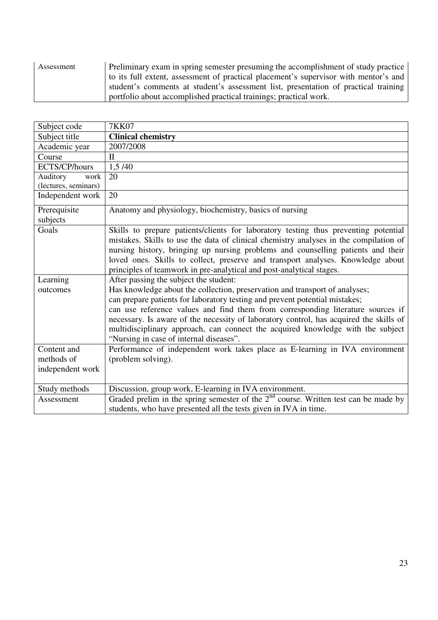| Assessment | Preliminary exam in spring semester presuming the accomplishment of study practice<br>to its full extent, assessment of practical placement's supervisor with mentor's and |
|------------|----------------------------------------------------------------------------------------------------------------------------------------------------------------------------|
|            | student's comments at student's assessment list, presentation of practical training<br>portfolio about accomplished practical trainings; practical work.                   |

| Subject code         | <b>7KK07</b>                                                                           |
|----------------------|----------------------------------------------------------------------------------------|
| Subject title        | <b>Clinical chemistry</b>                                                              |
| Academic year        | 2007/2008                                                                              |
| Course               | $\mathbf{H}$                                                                           |
| ECTS/CP/hours        | 1,5/40                                                                                 |
| Auditory<br>work     | 20                                                                                     |
| (lectures, seminars) |                                                                                        |
| Independent work     | 20                                                                                     |
| Prerequisite         | Anatomy and physiology, biochemistry, basics of nursing                                |
| subjects             |                                                                                        |
| Goals                | Skills to prepare patients/clients for laboratory testing thus preventing potential    |
|                      | mistakes. Skills to use the data of clinical chemistry analyses in the compilation of  |
|                      | nursing history, bringing up nursing problems and counselling patients and their       |
|                      | loved ones. Skills to collect, preserve and transport analyses. Knowledge about        |
|                      | principles of teamwork in pre-analytical and post-analytical stages.                   |
| Learning             | After passing the subject the student:                                                 |
| outcomes             | Has knowledge about the collection, preservation and transport of analyses;            |
|                      | can prepare patients for laboratory testing and prevent potential mistakes;            |
|                      | can use reference values and find them from corresponding literature sources if        |
|                      | necessary. Is aware of the necessity of laboratory control, has acquired the skills of |
|                      | multidisciplinary approach, can connect the acquired knowledge with the subject        |
|                      | "Nursing in case of internal diseases".                                                |
| Content and          | Performance of independent work takes place as E-learning in IVA environment           |
| methods of           | (problem solving).                                                                     |
| independent work     |                                                                                        |
| Study methods        | Discussion, group work, E-learning in IVA environment.                                 |
| Assessment           | Graded prelim in the spring semester of the $2nd$ course. Written test can be made by  |
|                      | students, who have presented all the tests given in IVA in time.                       |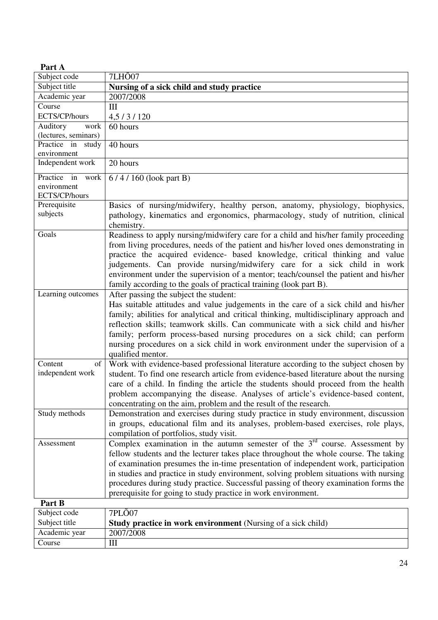| Part A               |                                                                                        |
|----------------------|----------------------------------------------------------------------------------------|
| Subject code         | 7LH <sub>O</sub> 07                                                                    |
| Subject title        | Nursing of a sick child and study practice                                             |
| Academic year        | 2007/2008                                                                              |
| Course               | III                                                                                    |
| ECTS/CP/hours        | 4,5/3/120                                                                              |
| Auditory<br>work     | 60 hours                                                                               |
| (lectures, seminars) |                                                                                        |
| Practice in study    | 40 hours                                                                               |
| environment          |                                                                                        |
| Independent work     | 20 hours                                                                               |
| Practice in work     | $6/4/160$ (look part B)                                                                |
| environment          |                                                                                        |
| ECTS/CP/hours        |                                                                                        |
| Prerequisite         | Basics of nursing/midwifery, healthy person, anatomy, physiology, biophysics,          |
| subjects             | pathology, kinematics and ergonomics, pharmacology, study of nutrition, clinical       |
| Goals                | chemistry.                                                                             |
|                      | Readiness to apply nursing/midwifery care for a child and his/her family proceeding    |
|                      | from living procedures, needs of the patient and his/her loved ones demonstrating in   |
|                      | practice the acquired evidence- based knowledge, critical thinking and value           |
|                      | judgements. Can provide nursing/midwifery care for a sick child in work                |
|                      | environment under the supervision of a mentor; teach/counsel the patient and his/her   |
|                      | family according to the goals of practical training (look part B).                     |
| Learning outcomes    | After passing the subject the student:                                                 |
|                      | Has suitable attitudes and value judgements in the care of a sick child and his/her    |
|                      | family; abilities for analytical and critical thinking, multidisciplinary approach and |
|                      | reflection skills; teamwork skills. Can communicate with a sick child and his/her      |
|                      | family; perform process-based nursing procedures on a sick child; can perform          |
|                      | nursing procedures on a sick child in work environment under the supervision of a      |
|                      | qualified mentor.                                                                      |
| Content<br>of        | Work with evidence-based professional literature according to the subject chosen by    |
| independent work     | student. To find one research article from evidence-based literature about the nursing |
|                      | care of a child. In finding the article the students should proceed from the health    |
|                      | problem accompanying the disease. Analyses of article's evidence-based content,        |
|                      | concentrating on the aim, problem and the result of the research.                      |
| Study methods        | Demonstration and exercises during study practice in study environment, discussion     |
|                      | in groups, educational film and its analyses, problem-based exercises, role plays,     |
|                      | compilation of portfolios, study visit.                                                |
| Assessment           | Complex examination in the autumn semester of the $3rd$ course. Assessment by          |
|                      | fellow students and the lecturer takes place throughout the whole course. The taking   |
|                      | of examination presumes the in-time presentation of independent work, participation    |
|                      | in studies and practice in study environment, solving problem situations with nursing  |
|                      | procedures during study practice. Successful passing of theory examination forms the   |
|                      | prerequisite for going to study practice in work environment.                          |
| Part B               |                                                                                        |
| Subject code         | 7PL <sub>O</sub> 07                                                                    |
| Subject title        | <b>Study practice in work environment</b> (Nursing of a sick child)                    |
| Academic year        | 2007/2008                                                                              |
| Course               | $\mathop{\rm III}$                                                                     |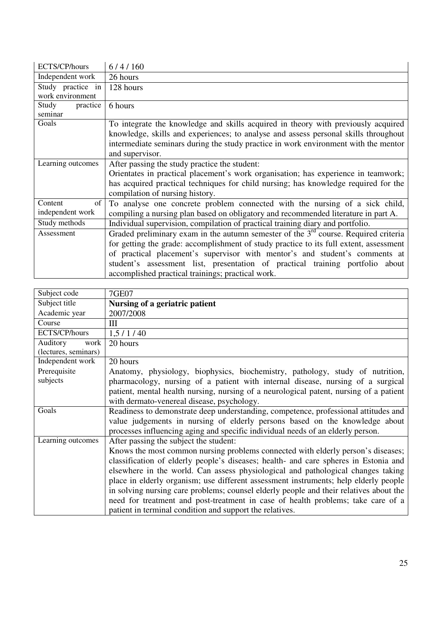| ECTS/CP/hours     | 6/4/160                                                                                |
|-------------------|----------------------------------------------------------------------------------------|
| Independent work  | 26 hours                                                                               |
| Study practice in | 128 hours                                                                              |
| work environment  |                                                                                        |
| Study<br>practice | 6 hours                                                                                |
| seminar           |                                                                                        |
| Goals             | To integrate the knowledge and skills acquired in theory with previously acquired      |
|                   | knowledge, skills and experiences; to analyse and assess personal skills throughout    |
|                   | intermediate seminars during the study practice in work environment with the mentor    |
|                   | and supervisor.                                                                        |
| Learning outcomes | After passing the study practice the student:                                          |
|                   | Orientates in practical placement's work organisation; has experience in teamwork;     |
|                   | has acquired practical techniques for child nursing; has knowledge required for the    |
|                   | compilation of nursing history.                                                        |
| of<br>Content     | To analyse one concrete problem connected with the nursing of a sick child,            |
| independent work  | compiling a nursing plan based on obligatory and recommended literature in part A.     |
| Study methods     | Individual supervision, compilation of practical training diary and portfolio.         |
| Assessment        | Graded preliminary exam in the autumn semester of the $3rd$ course. Required criteria  |
|                   | for getting the grade: accomplishment of study practice to its full extent, assessment |
|                   | of practical placement's supervisor with mentor's and student's comments at            |
|                   | student's assessment list, presentation of practical training portfolio about          |
|                   | accomplished practical trainings; practical work.                                      |

| Subject code         | <b>7GE07</b>                                                                           |
|----------------------|----------------------------------------------------------------------------------------|
| Subject title        | Nursing of a geriatric patient                                                         |
| Academic year        | 2007/2008                                                                              |
| Course               | Ш                                                                                      |
| ECTS/CP/hours        | 1,5/1/40                                                                               |
| Auditory<br>work     | 20 hours                                                                               |
| (lectures, seminars) |                                                                                        |
| Independent work     | 20 hours                                                                               |
| Prerequisite         | Anatomy, physiology, biophysics, biochemistry, pathology, study of nutrition,          |
| subjects             | pharmacology, nursing of a patient with internal disease, nursing of a surgical        |
|                      | patient, mental health nursing, nursing of a neurological patent, nursing of a patient |
|                      | with dermato-venereal disease, psychology.                                             |
| Goals                | Readiness to demonstrate deep understanding, competence, professional attitudes and    |
|                      | value judgements in nursing of elderly persons based on the knowledge about            |
|                      | processes influencing aging and specific individual needs of an elderly person.        |
| Learning outcomes    | After passing the subject the student:                                                 |
|                      | Knows the most common nursing problems connected with elderly person's diseases;       |
|                      | classification of elderly people's diseases; health- and care spheres in Estonia and   |
|                      | elsewhere in the world. Can assess physiological and pathological changes taking       |
|                      | place in elderly organism; use different assessment instruments; help elderly people   |
|                      | in solving nursing care problems; counsel elderly people and their relatives about the |
|                      | need for treatment and post-treatment in case of health problems; take care of a       |
|                      | patient in terminal condition and support the relatives.                               |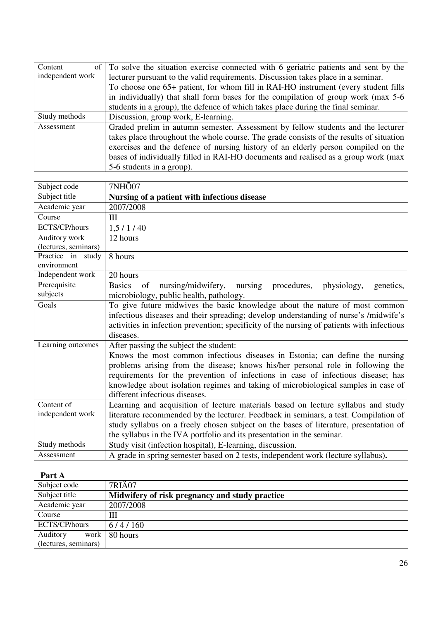| Content          | of $\vert$ To solve the situation exercise connected with 6 geriatric patients and sent by the |
|------------------|------------------------------------------------------------------------------------------------|
| independent work | lecturer pursuant to the valid requirements. Discussion takes place in a seminar.              |
|                  | To choose one 65+ patient, for whom fill in RAI-HO instrument (every student fills             |
|                  | in individually) that shall form bases for the compilation of group work (max 5-6              |
|                  | students in a group), the defence of which takes place during the final seminar.               |
| Study methods    | Discussion, group work, E-learning.                                                            |
| Assessment       | Graded prelim in autumn semester. Assessment by fellow students and the lecturer               |
|                  | takes place throughout the whole course. The grade consists of the results of situation        |
|                  | exercises and the defence of nursing history of an elderly person compiled on the              |
|                  | bases of individually filled in RAI-HO documents and realised as a group work (max             |
|                  | 5-6 students in a group).                                                                      |

| Subject code                     | 7NH <sub>O</sub> 07                                                                             |
|----------------------------------|-------------------------------------------------------------------------------------------------|
| Subject title                    | Nursing of a patient with infectious disease                                                    |
| Academic year                    | 2007/2008                                                                                       |
| Course                           | Ш                                                                                               |
| ECTS/CP/hours                    | 1,5/1/40                                                                                        |
| Auditory work                    | 12 hours                                                                                        |
| (lectures, seminars)             |                                                                                                 |
| Practice in study<br>environment | 8 hours                                                                                         |
| Independent work                 | 20 hours                                                                                        |
| Prerequisite                     | <b>Basics</b><br>of<br>nursing/midwifery,<br>nursing<br>procedures,<br>physiology,<br>genetics, |
| subjects                         | microbiology, public health, pathology.                                                         |
| Goals                            | To give future midwives the basic knowledge about the nature of most common                     |
|                                  | infectious diseases and their spreading; develop understanding of nurse's /midwife's            |
|                                  | activities in infection prevention; specificity of the nursing of patients with infectious      |
|                                  | diseases.                                                                                       |
| Learning outcomes                | After passing the subject the student:                                                          |
|                                  | Knows the most common infectious diseases in Estonia; can define the nursing                    |
|                                  | problems arising from the disease; knows his/her personal role in following the                 |
|                                  | requirements for the prevention of infections in case of infectious disease; has                |
|                                  | knowledge about isolation regimes and taking of microbiological samples in case of              |
|                                  | different infectious diseases.                                                                  |
| Content of                       | Learning and acquisition of lecture materials based on lecture syllabus and study               |
| independent work                 | literature recommended by the lecturer. Feedback in seminars, a test. Compilation of            |
|                                  | study syllabus on a freely chosen subject on the bases of literature, presentation of           |
|                                  | the syllabus in the IVA portfolio and its presentation in the seminar.                          |
| Study methods                    | Study visit (infection hospital), E-learning, discussion.                                       |
| Assessment                       | A grade in spring semester based on 2 tests, independent work (lecture syllabus).               |

#### **Part A**  Subject code 7RIÄ07<br>Subject title **Midwife** Midwifery of risk pregnancy and study practice  $2007/2008$ Academic year Course III<br>ECTS/CP/hours 6/4/160 ECTS/CP/hours Auditory work (lectures, seminars) 80 hours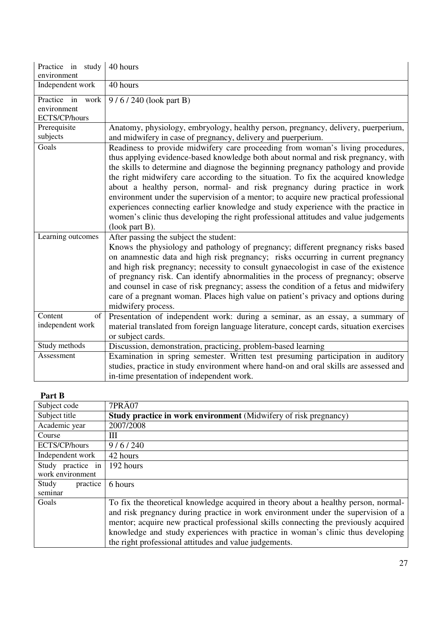| Practice in study<br>environment                    | 40 hours                                                                                                                                                                                                                                                                                                                                                                                                                                                                                                                                                                                                                                                                                                                    |
|-----------------------------------------------------|-----------------------------------------------------------------------------------------------------------------------------------------------------------------------------------------------------------------------------------------------------------------------------------------------------------------------------------------------------------------------------------------------------------------------------------------------------------------------------------------------------------------------------------------------------------------------------------------------------------------------------------------------------------------------------------------------------------------------------|
| Independent work                                    | 40 hours                                                                                                                                                                                                                                                                                                                                                                                                                                                                                                                                                                                                                                                                                                                    |
| Practice in<br>work<br>environment<br>ECTS/CP/hours | 9/6/240 (look part B)                                                                                                                                                                                                                                                                                                                                                                                                                                                                                                                                                                                                                                                                                                       |
| Prerequisite<br>subjects                            | Anatomy, physiology, embryology, healthy person, pregnancy, delivery, puerperium,<br>and midwifery in case of pregnancy, delivery and puerperium.                                                                                                                                                                                                                                                                                                                                                                                                                                                                                                                                                                           |
| Goals                                               | Readiness to provide midwifery care proceeding from woman's living procedures,<br>thus applying evidence-based knowledge both about normal and risk pregnancy, with<br>the skills to determine and diagnose the beginning pregnancy pathology and provide<br>the right midwifery care according to the situation. To fix the acquired knowledge<br>about a healthy person, normal- and risk pregnancy during practice in work<br>environment under the supervision of a mentor; to acquire new practical professional<br>experiences connecting earlier knowledge and study experience with the practice in<br>women's clinic thus developing the right professional attitudes and value judgements<br>$($ look part B $).$ |
| Learning outcomes                                   | After passing the subject the student:<br>Knows the physiology and pathology of pregnancy; different pregnancy risks based<br>on anamnestic data and high risk pregnancy; risks occurring in current pregnancy<br>and high risk pregnancy; necessity to consult gynaecologist in case of the existence<br>of pregnancy risk. Can identify abnormalities in the process of pregnancy; observe<br>and counsel in case of risk pregnancy; assess the condition of a fetus and midwifery<br>care of a pregnant woman. Places high value on patient's privacy and options during<br>midwifery process.                                                                                                                           |
| Content<br>of<br>independent work                   | Presentation of independent work: during a seminar, as an essay, a summary of<br>material translated from foreign language literature, concept cards, situation exercises<br>or subject cards.                                                                                                                                                                                                                                                                                                                                                                                                                                                                                                                              |
| Study methods                                       | Discussion, demonstration, practicing, problem-based learning                                                                                                                                                                                                                                                                                                                                                                                                                                                                                                                                                                                                                                                               |
| Assessment                                          | Examination in spring semester. Written test presuming participation in auditory<br>studies, practice in study environment where hand-on and oral skills are assessed and<br>in-time presentation of independent work.                                                                                                                                                                                                                                                                                                                                                                                                                                                                                                      |

## **Part B**

| Subject code      | 7PRA07                                                                               |
|-------------------|--------------------------------------------------------------------------------------|
| Subject title     | <b>Study practice in work environment</b> (Midwifery of risk pregnancy)              |
| Academic year     | 2007/2008                                                                            |
| Course            | Ш                                                                                    |
| ECTS/CP/hours     | 9/6/240                                                                              |
| Independent work  | 42 hours                                                                             |
| Study practice in | 192 hours                                                                            |
| work environment  |                                                                                      |
| Study<br>practice | 6 hours                                                                              |
| seminar           |                                                                                      |
| Goals             | To fix the theoretical knowledge acquired in theory about a healthy person, normal-  |
|                   | and risk pregnancy during practice in work environment under the supervision of a    |
|                   | mentor; acquire new practical professional skills connecting the previously acquired |
|                   | knowledge and study experiences with practice in woman's clinic thus developing      |
|                   | the right professional attitudes and value judgements.                               |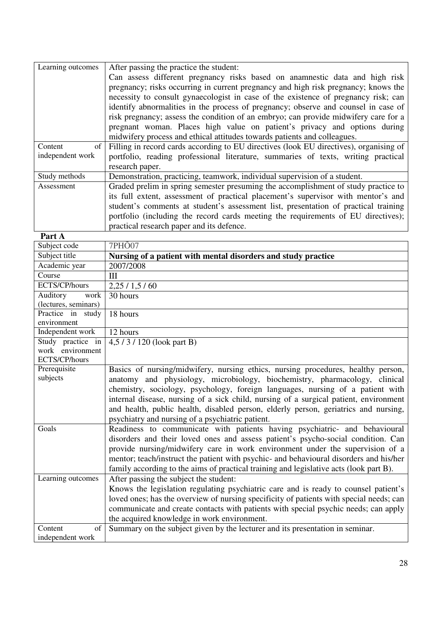| Learning outcomes | After passing the practice the student:                                                |
|-------------------|----------------------------------------------------------------------------------------|
|                   | Can assess different pregnancy risks based on anamnestic data and high risk            |
|                   | pregnancy; risks occurring in current pregnancy and high risk pregnancy; knows the     |
|                   | necessity to consult gynaecologist in case of the existence of pregnancy risk; can     |
|                   | identify abnormalities in the process of pregnancy; observe and counsel in case of     |
|                   | risk pregnancy; assess the condition of an embryo; can provide midwifery care for a    |
|                   | pregnant woman. Places high value on patient's privacy and options during              |
|                   | midwifery process and ethical attitudes towards patients and colleagues.               |
| Content<br>of     | Filling in record cards according to EU directives (look EU directives), organising of |
| independent work  | portfolio, reading professional literature, summaries of texts, writing practical      |
|                   | research paper.                                                                        |
| Study methods     | Demonstration, practicing, teamwork, individual supervision of a student.              |
| Assessment        | Graded prelim in spring semester presuming the accomplishment of study practice to     |
|                   | its full extent, assessment of practical placement's supervisor with mentor's and      |
|                   | student's comments at student's assessment list, presentation of practical training    |
|                   | portfolio (including the record cards meeting the requirements of EU directives);      |
|                   | practical research paper and its defence.                                              |
| Part A            |                                                                                        |

| 1 ai l A                              |                                                                                         |
|---------------------------------------|-----------------------------------------------------------------------------------------|
| Subject code                          | 7PH <sub>O</sub> 07                                                                     |
| Subject title                         | Nursing of a patient with mental disorders and study practice                           |
| Academic year                         | 2007/2008                                                                               |
| Course                                | Ш                                                                                       |
| ECTS/CP/hours                         | 2,25/1,5/60                                                                             |
| Auditory<br>work                      | 30 hours                                                                                |
| (lectures, seminars)                  |                                                                                         |
| Practice in study<br>environment      | 18 hours                                                                                |
| Independent work                      | 12 hours                                                                                |
| Study practice in<br>work environment | 4,5/3/120 (look part B)                                                                 |
| ECTS/CP/hours                         |                                                                                         |
| Prerequisite                          | Basics of nursing/midwifery, nursing ethics, nursing procedures, healthy person,        |
| subjects                              | anatomy and physiology, microbiology, biochemistry, pharmacology, clinical              |
|                                       | chemistry, sociology, psychology, foreign languages, nursing of a patient with          |
|                                       | internal disease, nursing of a sick child, nursing of a surgical patient, environment   |
|                                       | and health, public health, disabled person, elderly person, geriatrics and nursing,     |
|                                       | psychiatry and nursing of a psychiatric patient.                                        |
| Goals                                 | Readiness to communicate with patients having psychiatric- and behavioural              |
|                                       | disorders and their loved ones and assess patient's psycho-social condition. Can        |
|                                       | provide nursing/midwifery care in work environment under the supervision of a           |
|                                       | mentor; teach/instruct the patient with psychic- and behavioural disorders and his/her  |
|                                       | family according to the aims of practical training and legislative acts (look part B).  |
| Learning outcomes                     | After passing the subject the student:                                                  |
|                                       | Knows the legislation regulating psychiatric care and is ready to counsel patient's     |
|                                       | loved ones; has the overview of nursing specificity of patients with special needs; can |
|                                       | communicate and create contacts with patients with special psychic needs; can apply     |
|                                       | the acquired knowledge in work environment.                                             |
| Content<br>of                         | Summary on the subject given by the lecturer and its presentation in seminar.           |
| independent work                      |                                                                                         |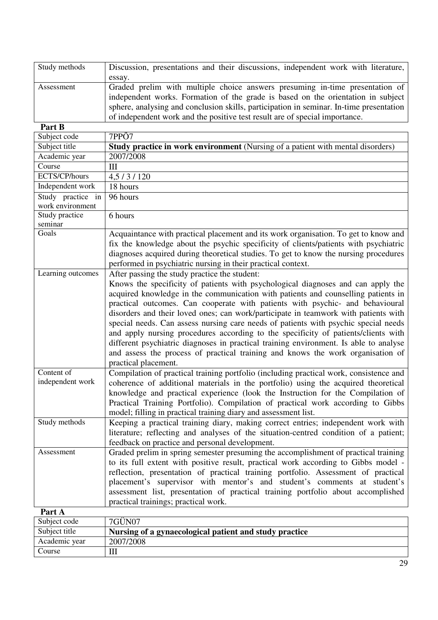| Study methods | Discussion, presentations and their discussions, independent work with literature,      |
|---------------|-----------------------------------------------------------------------------------------|
|               | essay.                                                                                  |
| Assessment    | Graded prelim with multiple choice answers presuming in-time presentation of            |
|               | independent works. Formation of the grade is based on the orientation in subject        |
|               | sphere, analysing and conclusion skills, participation in seminar. In-time presentation |
|               | of independent work and the positive test result are of special importance.             |

| Part B            |                                                                                        |
|-------------------|----------------------------------------------------------------------------------------|
| Subject code      | 7PPÕ7                                                                                  |
| Subject title     | Study practice in work environment (Nursing of a patient with mental disorders)        |
| Academic year     | 2007/2008                                                                              |
| Course            | III                                                                                    |
| ECTS/CP/hours     | 4,5/3/120                                                                              |
| Independent work  | 18 hours                                                                               |
| Study practice in | 96 hours                                                                               |
| work environment  |                                                                                        |
| Study practice    | 6 hours                                                                                |
| seminar           |                                                                                        |
| Goals             | Acquaintance with practical placement and its work organisation. To get to know and    |
|                   | fix the knowledge about the psychic specificity of clients/patients with psychiatric   |
|                   | diagnoses acquired during theoretical studies. To get to know the nursing procedures   |
|                   | performed in psychiatric nursing in their practical context.                           |
| Learning outcomes | After passing the study practice the student:                                          |
|                   | Knows the specificity of patients with psychological diagnoses and can apply the       |
|                   | acquired knowledge in the communication with patients and counselling patients in      |
|                   | practical outcomes. Can cooperate with patients with psychic- and behavioural          |
|                   | disorders and their loved ones; can work/participate in teamwork with patients with    |
|                   | special needs. Can assess nursing care needs of patients with psychic special needs    |
|                   | and apply nursing procedures according to the specificity of patients/clients with     |
|                   | different psychiatric diagnoses in practical training environment. Is able to analyse  |
|                   | and assess the process of practical training and knows the work organisation of        |
|                   | practical placement.                                                                   |
| Content of        | Compilation of practical training portfolio (including practical work, consistence and |
| independent work  | coherence of additional materials in the portfolio) using the acquired theoretical     |
|                   | knowledge and practical experience (look the Instruction for the Compilation of        |
|                   | Practical Training Portfolio). Compilation of practical work according to Gibbs        |
|                   | model; filling in practical training diary and assessment list.                        |
| Study methods     | Keeping a practical training diary, making correct entries; independent work with      |
|                   | literature; reflecting and analyses of the situation-centred condition of a patient;   |
|                   |                                                                                        |
|                   | feedback on practice and personal development.                                         |
| Assessment        | Graded prelim in spring semester presuming the accomplishment of practical training    |
|                   | to its full extent with positive result, practical work according to Gibbs model -     |
|                   | reflection, presentation of practical training portfolio. Assessment of practical      |
|                   | placement's supervisor with mentor's and student's comments at student's               |
|                   | assessment list, presentation of practical training portfolio about accomplished       |
|                   | practical trainings; practical work.                                                   |
| Part A            |                                                                                        |

| 1 ai t-A      |                                                        |
|---------------|--------------------------------------------------------|
| Subject code  | 7GUN07                                                 |
| Subject title | Nursing of a gynaecological patient and study practice |
| Academic year | 2007/2008                                              |
| Course        | Ш                                                      |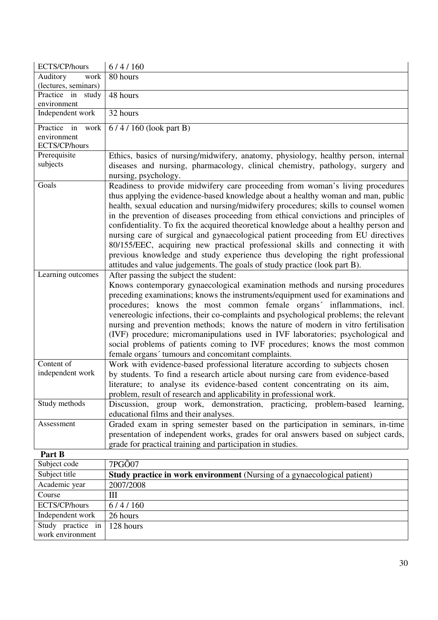| ECTS/CP/hours        | 6/4/160                                                                               |
|----------------------|---------------------------------------------------------------------------------------|
| Auditory<br>work     | 80 hours                                                                              |
| (lectures, seminars) |                                                                                       |
| Practice in study    | 48 hours                                                                              |
| environment          |                                                                                       |
| Independent work     | 32 hours                                                                              |
| Practice in<br>work  | $6/4/160$ (look part B)                                                               |
| environment          |                                                                                       |
| ECTS/CP/hours        |                                                                                       |
| Prerequisite         | Ethics, basics of nursing/midwifery, anatomy, physiology, healthy person, internal    |
| subjects             | diseases and nursing, pharmacology, clinical chemistry, pathology, surgery and        |
|                      | nursing, psychology.                                                                  |
| Goals                | Readiness to provide midwifery care proceeding from woman's living procedures         |
|                      | thus applying the evidence-based knowledge about a healthy woman and man, public      |
|                      | health, sexual education and nursing/midwifery procedures; skills to counsel women    |
|                      | in the prevention of diseases proceeding from ethical convictions and principles of   |
|                      | confidentiality. To fix the acquired theoretical knowledge about a healthy person and |
|                      | nursing care of surgical and gynaecological patient proceeding from EU directives     |
|                      | 80/155/EEC, acquiring new practical professional skills and connecting it with        |
|                      | previous knowledge and study experience thus developing the right professional        |
|                      | attitudes and value judgements. The goals of study practice (look part B).            |
| Learning outcomes    | After passing the subject the student:                                                |
|                      | Knows contemporary gynaecological examination methods and nursing procedures          |
|                      | preceding examinations; knows the instruments/equipment used for examinations and     |
|                      | procedures; knows the most common female organs' inflammations, incl.                 |
|                      | venereologic infections, their co-complaints and psychological problems; the relevant |
|                      | nursing and prevention methods; knows the nature of modern in vitro fertilisation     |
|                      | (IVF) procedure; micromanipulations used in IVF laboratories; psychological and       |
|                      | social problems of patients coming to IVF procedures; knows the most common           |
|                      | female organs' tumours and concomitant complaints.                                    |
| Content of           | Work with evidence-based professional literature according to subjects chosen         |
| independent work     | by students. To find a research article about nursing care from evidence-based        |
|                      | literature; to analyse its evidence-based content concentrating on its aim,           |
|                      | problem, result of research and applicability in professional work.                   |
| Study methods        | Discussion, group work, demonstration, practicing, problem-based learning,            |
|                      | educational films and their analyses.                                                 |
| Assessment           | Graded exam in spring semester based on the participation in seminars, in-time        |
|                      | presentation of independent works, grades for oral answers based on subject cards,    |
|                      | grade for practical training and participation in studies.                            |
| Part B               |                                                                                       |
| $C_{n+1}$ is at east | 7DQOO7                                                                                |

| Subject code      | 7PGÕ07                                                                          |
|-------------------|---------------------------------------------------------------------------------|
| Subject title     | <b>Study practice in work environment</b> (Nursing of a gynaecological patient) |
| Academic year     | 2007/2008                                                                       |
| Course            | Ш                                                                               |
| ECTS/CP/hours     | 6/4/160                                                                         |
| Independent work  | 26 hours                                                                        |
| Study practice in | 128 hours                                                                       |
| work environment  |                                                                                 |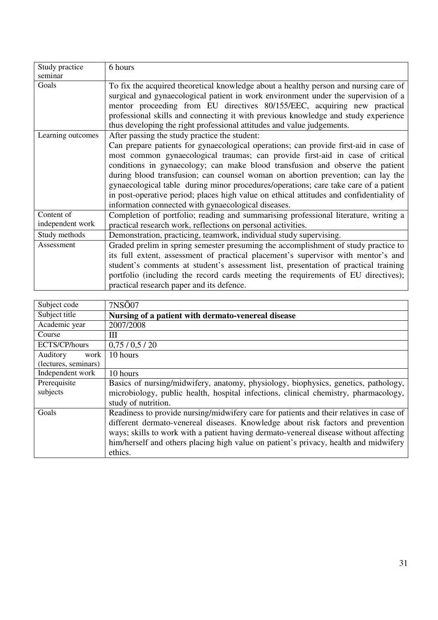| Study practice    | 6 hours                                                                                 |
|-------------------|-----------------------------------------------------------------------------------------|
| seminar           |                                                                                         |
| Goals             | To fix the acquired theoretical knowledge about a healthy person and nursing care of    |
|                   | surgical and gynaecological patient in work environment under the supervision of a      |
|                   | mentor proceeding from EU directives 80/155/EEC, acquiring new practical                |
|                   | professional skills and connecting it with previous knowledge and study experience      |
|                   | thus developing the right professional attitudes and value judgements.                  |
| Learning outcomes | After passing the study practice the student:                                           |
|                   | Can prepare patients for gynaecological operations; can provide first-aid in case of    |
|                   | most common gynaecological traumas; can provide first-aid in case of critical           |
|                   | conditions in gynaecology; can make blood transfusion and observe the patient           |
|                   | during blood transfusion; can counsel woman on abortion prevention; can lay the         |
|                   | gynaecological table during minor procedures/operations; care take care of a patient    |
|                   | in post-operative period; places high value on ethical attitudes and confidentiality of |
|                   | information connected with gynaecological diseases.                                     |
| Content of        | Completion of portfolio; reading and summarising professional literature, writing a     |
| independent work  | practical research work, reflections on personal activities.                            |
| Study methods     | Demonstration, practicing, teamwork, individual study supervising.                      |
| Assessment        | Graded prelim in spring semester presuming the accomplishment of study practice to      |
|                   | its full extent, assessment of practical placement's supervisor with mentor's and       |
|                   | student's comments at student's assessment list, presentation of practical training     |
|                   | portfolio (including the record cards meeting the requirements of EU directives);       |
|                   | practical research paper and its defence.                                               |

| Subject code         | 7NS <sub>007</sub>                                                                      |
|----------------------|-----------------------------------------------------------------------------------------|
| Subject title        | Nursing of a patient with dermato-venereal disease                                      |
| Academic year        | 2007/2008                                                                               |
| Course               | Ш                                                                                       |
| ECTS/CP/hours        | 0,75/0,5/20                                                                             |
| Auditory<br>work     | 10 hours                                                                                |
| (lectures, seminars) |                                                                                         |
| Independent work     | 10 hours                                                                                |
| Prerequisite         | Basics of nursing/midwifery, anatomy, physiology, biophysics, genetics, pathology,      |
| subjects             | microbiology, public health, hospital infections, clinical chemistry, pharmacology,     |
|                      | study of nutrition.                                                                     |
| Goals                | Readiness to provide nursing/midwifery care for patients and their relatives in case of |
|                      | different dermato-venereal diseases. Knowledge about risk factors and prevention        |
|                      | ways; skills to work with a patient having dermato-venereal disease without affecting   |
|                      | him/herself and others placing high value on patient's privacy, health and midwifery    |
|                      | ethics.                                                                                 |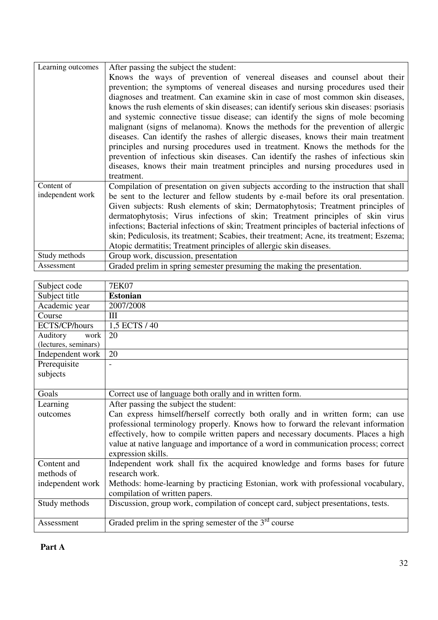| Learning outcomes | After passing the subject the student:                                                    |
|-------------------|-------------------------------------------------------------------------------------------|
|                   | Knows the ways of prevention of venereal diseases and counsel about their                 |
|                   | prevention; the symptoms of venereal diseases and nursing procedures used their           |
|                   | diagnoses and treatment. Can examine skin in case of most common skin diseases,           |
|                   | knows the rush elements of skin diseases; can identify serious skin diseases: psoriasis   |
|                   | and systemic connective tissue disease; can identify the signs of mole becoming           |
|                   | malignant (signs of melanoma). Knows the methods for the prevention of allergic           |
|                   | diseases. Can identify the rashes of allergic diseases, knows their main treatment        |
|                   | principles and nursing procedures used in treatment. Knows the methods for the            |
|                   | prevention of infectious skin diseases. Can identify the rashes of infectious skin        |
|                   | diseases, knows their main treatment principles and nursing procedures used in            |
|                   | treatment.                                                                                |
| Content of        | Compilation of presentation on given subjects according to the instruction that shall     |
| independent work  | be sent to the lecturer and fellow students by e-mail before its oral presentation.       |
|                   | Given subjects: Rush elements of skin; Dermatophytosis; Treatment principles of           |
|                   | dermatophytosis; Virus infections of skin; Treatment principles of skin virus             |
|                   | infections; Bacterial infections of skin; Treatment principles of bacterial infections of |
|                   | skin; Pediculosis, its treatment; Scabies, their treatment; Acne, its treatment; Eszema;  |
|                   | Atopic dermatitis; Treatment principles of allergic skin diseases.                        |
| Study methods     | Group work, discussion, presentation                                                      |
| Assessment        | Graded prelim in spring semester presuming the making the presentation.                   |

| Subject code         | <b>7EK07</b>                                                                        |
|----------------------|-------------------------------------------------------------------------------------|
| Subject title        | <b>Estonian</b>                                                                     |
| Academic year        | 2007/2008                                                                           |
| Course               | III                                                                                 |
| ECTS/CP/hours        | 1,5 ECTS / 40                                                                       |
| Auditory<br>work     | 20                                                                                  |
| (lectures, seminars) |                                                                                     |
| Independent work     | 20                                                                                  |
| Prerequisite         | $\overline{a}$                                                                      |
| subjects             |                                                                                     |
|                      |                                                                                     |
| Goals                | Correct use of language both orally and in written form.                            |
| Learning             | After passing the subject the student:                                              |
| outcomes             | Can express himself/herself correctly both orally and in written form; can use      |
|                      | professional terminology properly. Knows how to forward the relevant information    |
|                      | effectively, how to compile written papers and necessary documents. Places a high   |
|                      | value at native language and importance of a word in communication process; correct |
|                      | expression skills.                                                                  |
| Content and          | Independent work shall fix the acquired knowledge and forms bases for future        |
| methods of           | research work.                                                                      |
| independent work     | Methods: home-learning by practicing Estonian, work with professional vocabulary,   |
|                      | compilation of written papers.                                                      |
| Study methods        | Discussion, group work, compilation of concept card, subject presentations, tests.  |
|                      |                                                                                     |
| Assessment           | Graded prelim in the spring semester of the $3^{\overline{rd}}$ course              |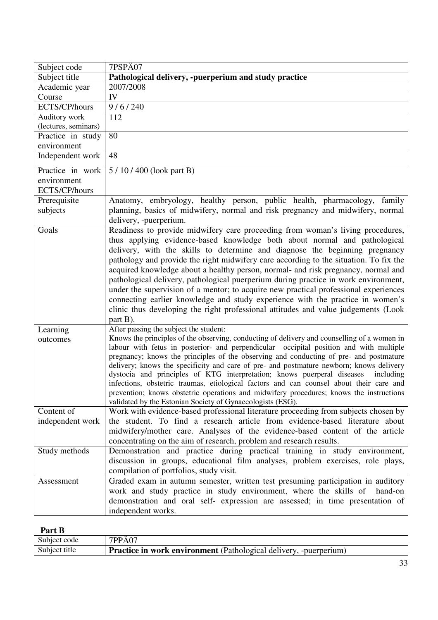| Subject code         | 7PSPÄ07                                                                                                                                                                          |
|----------------------|----------------------------------------------------------------------------------------------------------------------------------------------------------------------------------|
| Subject title        | Pathological delivery, -puerperium and study practice                                                                                                                            |
| Academic year        | 2007/2008                                                                                                                                                                        |
| Course               | IV                                                                                                                                                                               |
| ECTS/CP/hours        | 9/6/240                                                                                                                                                                          |
| Auditory work        | 112                                                                                                                                                                              |
| (lectures, seminars) |                                                                                                                                                                                  |
| Practice in study    | 80                                                                                                                                                                               |
| environment          |                                                                                                                                                                                  |
| Independent work     | 48                                                                                                                                                                               |
| Practice in work     | 5/10/400 (look part B)                                                                                                                                                           |
| environment          |                                                                                                                                                                                  |
| ECTS/CP/hours        |                                                                                                                                                                                  |
| Prerequisite         | Anatomy, embryology, healthy person, public health, pharmacology, family                                                                                                         |
| subjects             | planning, basics of midwifery, normal and risk pregnancy and midwifery, normal                                                                                                   |
|                      | delivery, -puerperium.                                                                                                                                                           |
| Goals                | Readiness to provide midwifery care proceeding from woman's living procedures,                                                                                                   |
|                      | thus applying evidence-based knowledge both about normal and pathological                                                                                                        |
|                      | delivery, with the skills to determine and diagnose the beginning pregnancy                                                                                                      |
|                      | pathology and provide the right midwifery care according to the situation. To fix the                                                                                            |
|                      | acquired knowledge about a healthy person, normal- and risk pregnancy, normal and                                                                                                |
|                      | pathological delivery, pathological puerperium during practice in work environment,                                                                                              |
|                      | under the supervision of a mentor; to acquire new practical professional experiences                                                                                             |
|                      | connecting earlier knowledge and study experience with the practice in women's                                                                                                   |
|                      | clinic thus developing the right professional attitudes and value judgements (Look                                                                                               |
|                      | part B).                                                                                                                                                                         |
| Learning             | After passing the subject the student:                                                                                                                                           |
| outcomes             | Knows the principles of the observing, conducting of delivery and counselling of a women in                                                                                      |
|                      | labour with fetus in posterior- and perpendicular occipital position and with multiple<br>pregnancy; knows the principles of the observing and conducting of pre- and postmature |
|                      | delivery; knows the specificity and care of pre- and postmature newborn; knows delivery                                                                                          |
|                      | dystocia and principles of KTG interpretation; knows puerperal diseases<br>including                                                                                             |
|                      | infections, obstetric traumas, etiological factors and can counsel about their care and                                                                                          |
|                      | prevention; knows obstetric operations and midwifery procedures; knows the instructions                                                                                          |
|                      | validated by the Estonian Society of Gynaecologists (ESG).                                                                                                                       |
| Content of           | Work with evidence-based professional literature proceeding from subjects chosen by                                                                                              |
| independent work     | the student. To find a research article from evidence-based literature about                                                                                                     |
|                      | midwifery/mother care. Analyses of the evidence-based content of the article                                                                                                     |
|                      | concentrating on the aim of research, problem and research results.                                                                                                              |
| Study methods        | Demonstration and practice during practical training in study environment,                                                                                                       |
|                      | discussion in groups, educational film analyses, problem exercises, role plays,                                                                                                  |
|                      | compilation of portfolios, study visit.                                                                                                                                          |
| Assessment           | Graded exam in autumn semester, written test presuming participation in auditory                                                                                                 |
|                      | work and study practice in study environment, where the skills of<br>hand-on                                                                                                     |
|                      | demonstration and oral self- expression are assessed; in time presentation of                                                                                                    |
|                      | independent works.                                                                                                                                                               |
|                      |                                                                                                                                                                                  |

# **Part B**

| Subject code  | 7PPA07                                                                   |
|---------------|--------------------------------------------------------------------------|
| Subject title | <b>Practice in work environment</b> (Pathological delivery, -puerperium) |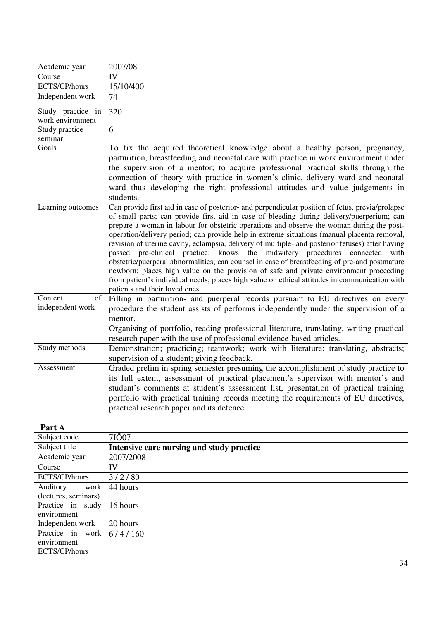| Academic year     | 2007/08                                                                                                                                                                                                                                                                                                                                                                                                                                                                                                                                                                                                                                                                                                                                                                                                                                                                                                       |
|-------------------|---------------------------------------------------------------------------------------------------------------------------------------------------------------------------------------------------------------------------------------------------------------------------------------------------------------------------------------------------------------------------------------------------------------------------------------------------------------------------------------------------------------------------------------------------------------------------------------------------------------------------------------------------------------------------------------------------------------------------------------------------------------------------------------------------------------------------------------------------------------------------------------------------------------|
| Course            | IV                                                                                                                                                                                                                                                                                                                                                                                                                                                                                                                                                                                                                                                                                                                                                                                                                                                                                                            |
| ECTS/CP/hours     | 15/10/400                                                                                                                                                                                                                                                                                                                                                                                                                                                                                                                                                                                                                                                                                                                                                                                                                                                                                                     |
| Independent work  | 74                                                                                                                                                                                                                                                                                                                                                                                                                                                                                                                                                                                                                                                                                                                                                                                                                                                                                                            |
| Study practice in | 320                                                                                                                                                                                                                                                                                                                                                                                                                                                                                                                                                                                                                                                                                                                                                                                                                                                                                                           |
| work environment  |                                                                                                                                                                                                                                                                                                                                                                                                                                                                                                                                                                                                                                                                                                                                                                                                                                                                                                               |
| Study practice    | 6                                                                                                                                                                                                                                                                                                                                                                                                                                                                                                                                                                                                                                                                                                                                                                                                                                                                                                             |
| seminar           |                                                                                                                                                                                                                                                                                                                                                                                                                                                                                                                                                                                                                                                                                                                                                                                                                                                                                                               |
| Goals             | To fix the acquired theoretical knowledge about a healthy person, pregnancy,<br>parturition, breastfeeding and neonatal care with practice in work environment under<br>the supervision of a mentor; to acquire professional practical skills through the<br>connection of theory with practice in women's clinic, delivery ward and neonatal<br>ward thus developing the right professional attitudes and value judgements in<br>students.                                                                                                                                                                                                                                                                                                                                                                                                                                                                   |
| Learning outcomes | Can provide first aid in case of posterior- and perpendicular position of fetus, previa/prolapse<br>of small parts; can provide first aid in case of bleeding during delivery/puerperium; can<br>prepare a woman in labour for obstetric operations and observe the woman during the post-<br>operation/delivery period; can provide help in extreme situations (manual placenta removal,<br>revision of uterine cavity, eclampsia, delivery of multiple- and posterior fetuses) after having<br>passed pre-clinical practice; knows the midwifery procedures connected<br>with<br>obstetric/puerperal abnormalities; can counsel in case of breastfeeding of pre-and postmature<br>newborn; places high value on the provision of safe and private environment proceeding<br>from patient's individual needs; places high value on ethical attitudes in communication with<br>patients and their loved ones. |
| Content<br>of     | Filling in parturition- and puerperal records pursuant to EU directives on every                                                                                                                                                                                                                                                                                                                                                                                                                                                                                                                                                                                                                                                                                                                                                                                                                              |
| independent work  | procedure the student assists of performs independently under the supervision of a                                                                                                                                                                                                                                                                                                                                                                                                                                                                                                                                                                                                                                                                                                                                                                                                                            |
|                   | mentor.                                                                                                                                                                                                                                                                                                                                                                                                                                                                                                                                                                                                                                                                                                                                                                                                                                                                                                       |
|                   | Organising of portfolio, reading professional literature, translating, writing practical                                                                                                                                                                                                                                                                                                                                                                                                                                                                                                                                                                                                                                                                                                                                                                                                                      |
|                   | research paper with the use of professional evidence-based articles.                                                                                                                                                                                                                                                                                                                                                                                                                                                                                                                                                                                                                                                                                                                                                                                                                                          |
| Study methods     | Demonstration; practicing; teamwork; work with literature: translating, abstracts;                                                                                                                                                                                                                                                                                                                                                                                                                                                                                                                                                                                                                                                                                                                                                                                                                            |
|                   | supervision of a student; giving feedback.                                                                                                                                                                                                                                                                                                                                                                                                                                                                                                                                                                                                                                                                                                                                                                                                                                                                    |
| Assessment        | Graded prelim in spring semester presuming the accomplishment of study practice to                                                                                                                                                                                                                                                                                                                                                                                                                                                                                                                                                                                                                                                                                                                                                                                                                            |
|                   | its full extent, assessment of practical placement's supervisor with mentor's and                                                                                                                                                                                                                                                                                                                                                                                                                                                                                                                                                                                                                                                                                                                                                                                                                             |
|                   | student's comments at student's assessment list, presentation of practical training                                                                                                                                                                                                                                                                                                                                                                                                                                                                                                                                                                                                                                                                                                                                                                                                                           |
|                   | portfolio with practical training records meeting the requirements of EU directives,                                                                                                                                                                                                                                                                                                                                                                                                                                                                                                                                                                                                                                                                                                                                                                                                                          |
|                   | practical research paper and its defence                                                                                                                                                                                                                                                                                                                                                                                                                                                                                                                                                                                                                                                                                                                                                                                                                                                                      |

| . <u>.</u>           |                                           |  |  |
|----------------------|-------------------------------------------|--|--|
| Subject code         | 7IÕ07                                     |  |  |
| Subject title        | Intensive care nursing and study practice |  |  |
| Academic year        | 2007/2008                                 |  |  |
| Course               | IV                                        |  |  |
| ECTS/CP/hours        | 3/2/80                                    |  |  |
| Auditory<br>work     | 44 hours                                  |  |  |
| (lectures, seminars) |                                           |  |  |
| Practice in study    | 16 hours                                  |  |  |
| environment          |                                           |  |  |
| Independent work     | 20 hours                                  |  |  |
| Practice in work     | 6/4/160                                   |  |  |
| environment          |                                           |  |  |
| ECTS/CP/hours        |                                           |  |  |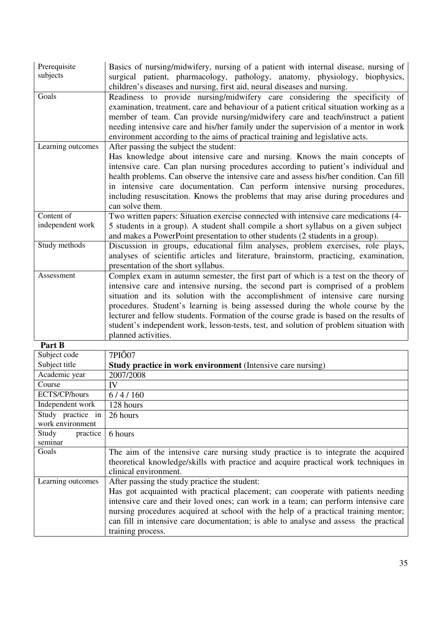| Prerequisite<br>subjects | Basics of nursing/midwifery, nursing of a patient with internal disease, nursing of<br>surgical patient, pharmacology, pathology, anatomy, physiology, biophysics,<br>children's diseases and nursing, first aid, neural diseases and nursing.                                                                                                                                                                                   |  |  |  |
|--------------------------|----------------------------------------------------------------------------------------------------------------------------------------------------------------------------------------------------------------------------------------------------------------------------------------------------------------------------------------------------------------------------------------------------------------------------------|--|--|--|
| Goals                    | Readiness to provide nursing/midwifery care considering the specificity of<br>examination, treatment, care and behaviour of a patient critical situation working as a<br>member of team. Can provide nursing/midwifery care and teach/instruct a patient<br>needing intensive care and his/her family under the supervision of a mentor in work<br>environment according to the aims of practical training and legislative acts. |  |  |  |
| Learning outcomes        | After passing the subject the student:                                                                                                                                                                                                                                                                                                                                                                                           |  |  |  |
|                          | Has knowledge about intensive care and nursing. Knows the main concepts of                                                                                                                                                                                                                                                                                                                                                       |  |  |  |
|                          | intensive care. Can plan nursing procedures according to patient's individual and                                                                                                                                                                                                                                                                                                                                                |  |  |  |
|                          | health problems. Can observe the intensive care and assess his/her condition. Can fill                                                                                                                                                                                                                                                                                                                                           |  |  |  |
|                          | in intensive care documentation. Can perform intensive nursing procedures,                                                                                                                                                                                                                                                                                                                                                       |  |  |  |
|                          | including resuscitation. Knows the problems that may arise during procedures and<br>can solve them.                                                                                                                                                                                                                                                                                                                              |  |  |  |
| Content of               | Two written papers: Situation exercise connected with intensive care medications (4-                                                                                                                                                                                                                                                                                                                                             |  |  |  |
| independent work         | 5 students in a group). A student shall compile a short syllabus on a given subject                                                                                                                                                                                                                                                                                                                                              |  |  |  |
|                          | and makes a PowerPoint presentation to other students (2 students in a group).                                                                                                                                                                                                                                                                                                                                                   |  |  |  |
| Study methods            | Discussion in groups, educational film analyses, problem exercises, role plays,                                                                                                                                                                                                                                                                                                                                                  |  |  |  |
|                          | analyses of scientific articles and literature, brainstorm, practicing, examination,<br>presentation of the short syllabus.                                                                                                                                                                                                                                                                                                      |  |  |  |
| Assessment               | Complex exam in autumn semester, the first part of which is a test on the theory of                                                                                                                                                                                                                                                                                                                                              |  |  |  |
|                          | intensive care and intensive nursing, the second part is comprised of a problem                                                                                                                                                                                                                                                                                                                                                  |  |  |  |
|                          | situation and its solution with the accomplishment of intensive care nursing                                                                                                                                                                                                                                                                                                                                                     |  |  |  |
|                          | procedures. Student's learning is being assessed during the whole course by the                                                                                                                                                                                                                                                                                                                                                  |  |  |  |
|                          | lecturer and fellow students. Formation of the course grade is based on the results of                                                                                                                                                                                                                                                                                                                                           |  |  |  |
|                          | student's independent work, lesson-tests, test, and solution of problem situation with                                                                                                                                                                                                                                                                                                                                           |  |  |  |
| $\overline{ }$           | planned activities.                                                                                                                                                                                                                                                                                                                                                                                                              |  |  |  |

| Part B            |                                                                                       |  |  |  |
|-------------------|---------------------------------------------------------------------------------------|--|--|--|
| Subject code      | 7PIÕ07                                                                                |  |  |  |
| Subject title     | <b>Study practice in work environment</b> (Intensive care nursing)                    |  |  |  |
| Academic year     | 2007/2008                                                                             |  |  |  |
| Course            | <b>IV</b>                                                                             |  |  |  |
| ECTS/CP/hours     | 6/4/160                                                                               |  |  |  |
| Independent work  | 128 hours                                                                             |  |  |  |
| Study practice in | 26 hours                                                                              |  |  |  |
| work environment  |                                                                                       |  |  |  |
| Study<br>practice | 6 hours                                                                               |  |  |  |
| seminar           |                                                                                       |  |  |  |
| Goals             | The aim of the intensive care nursing study practice is to integrate the acquired     |  |  |  |
|                   | theoretical knowledge/skills with practice and acquire practical work techniques in   |  |  |  |
|                   | clinical environment.                                                                 |  |  |  |
| Learning outcomes | After passing the study practice the student:                                         |  |  |  |
|                   | Has got acquainted with practical placement; can cooperate with patients needing      |  |  |  |
|                   | intensive care and their loved ones; can work in a team; can perform intensive care   |  |  |  |
|                   | nursing procedures acquired at school with the help of a practical training mentor;   |  |  |  |
|                   | can fill in intensive care documentation; is able to analyse and assess the practical |  |  |  |
|                   | training process.                                                                     |  |  |  |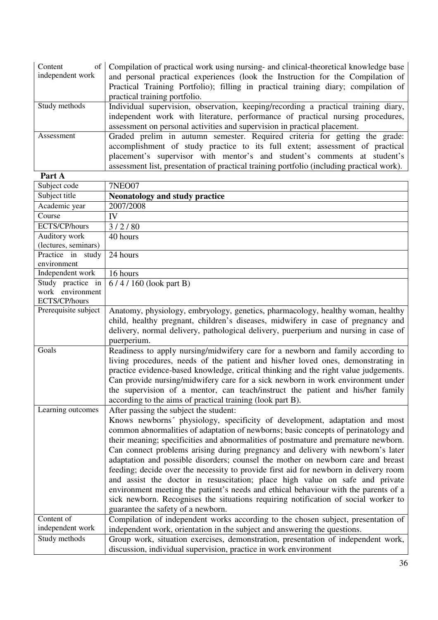| Content<br>of<br>independent work | Compilation of practical work using nursing- and clinical-theoretical knowledge base<br>and personal practical experiences (look the Instruction for the Compilation of |  |  |  |  |
|-----------------------------------|-------------------------------------------------------------------------------------------------------------------------------------------------------------------------|--|--|--|--|
|                                   | Practical Training Portfolio); filling in practical training diary; compilation of                                                                                      |  |  |  |  |
|                                   | practical training portfolio.                                                                                                                                           |  |  |  |  |
| Study methods                     | Individual supervision, observation, keeping/recording a practical training diary,                                                                                      |  |  |  |  |
|                                   | independent work with literature, performance of practical nursing procedures,                                                                                          |  |  |  |  |
|                                   | assessment on personal activities and supervision in practical placement.                                                                                               |  |  |  |  |
| Assessment                        | Graded prelim in autumn semester. Required criteria for getting the grade:                                                                                              |  |  |  |  |
|                                   | accomplishment of study practice to its full extent; assessment of practical                                                                                            |  |  |  |  |
|                                   | placement's supervisor with mentor's and student's comments at student's                                                                                                |  |  |  |  |
|                                   | assessment list, presentation of practical training portfolio (including practical work).                                                                               |  |  |  |  |
| Part A                            |                                                                                                                                                                         |  |  |  |  |

| Part A                            |                                                                                      |  |  |  |
|-----------------------------------|--------------------------------------------------------------------------------------|--|--|--|
| Subject code                      | <b>7NEO07</b>                                                                        |  |  |  |
| Subject title                     | <b>Neonatology and study practice</b>                                                |  |  |  |
| Academic year                     | 2007/2008                                                                            |  |  |  |
| Course                            | IV                                                                                   |  |  |  |
| ECTS/CP/hours                     | 3/2/80                                                                               |  |  |  |
| Auditory work                     | 40 hours                                                                             |  |  |  |
| (lectures, seminars)              |                                                                                      |  |  |  |
| Practice in study                 | 24 hours                                                                             |  |  |  |
| environment                       |                                                                                      |  |  |  |
| Independent work                  | 16 hours                                                                             |  |  |  |
| Study practice in                 | 6/4/160 (look part B)                                                                |  |  |  |
| work environment<br>ECTS/CP/hours |                                                                                      |  |  |  |
| Prerequisite subject              |                                                                                      |  |  |  |
|                                   | Anatomy, physiology, embryology, genetics, pharmacology, healthy woman, healthy      |  |  |  |
|                                   | child, healthy pregnant, children's diseases, midwifery in case of pregnancy and     |  |  |  |
|                                   | delivery, normal delivery, pathological delivery, puerperium and nursing in case of  |  |  |  |
| Goals                             | puerperium.                                                                          |  |  |  |
|                                   | Readiness to apply nursing/midwifery care for a newborn and family according to      |  |  |  |
|                                   | living procedures, needs of the patient and his/her loved ones, demonstrating in     |  |  |  |
|                                   | practice evidence-based knowledge, critical thinking and the right value judgements. |  |  |  |
|                                   | Can provide nursing/midwifery care for a sick newborn in work environment under      |  |  |  |
|                                   | the supervision of a mentor, can teach/instruct the patient and his/her family       |  |  |  |
|                                   | according to the aims of practical training (look part B).                           |  |  |  |
| Learning outcomes                 | After passing the subject the student:                                               |  |  |  |
|                                   | Knows newborns' physiology, specificity of development, adaptation and most          |  |  |  |
|                                   | common abnormalities of adaptation of newborns; basic concepts of perinatology and   |  |  |  |
|                                   | their meaning; specificities and abnormalities of postmature and premature newborn.  |  |  |  |
|                                   | Can connect problems arising during pregnancy and delivery with newborn's later      |  |  |  |
|                                   | adaptation and possible disorders; counsel the mother on newborn care and breast     |  |  |  |
|                                   | feeding; decide over the necessity to provide first aid for newborn in delivery room |  |  |  |
|                                   | and assist the doctor in resuscitation; place high value on safe and private         |  |  |  |
|                                   | environment meeting the patient's needs and ethical behaviour with the parents of a  |  |  |  |
|                                   | sick newborn. Recognises the situations requiring notification of social worker to   |  |  |  |
|                                   | guarantee the safety of a newborn.                                                   |  |  |  |
| Content of                        | Compilation of independent works according to the chosen subject, presentation of    |  |  |  |
| independent work                  | independent work, orientation in the subject and answering the questions.            |  |  |  |
| Study methods                     | Group work, situation exercises, demonstration, presentation of independent work,    |  |  |  |
|                                   | discussion, individual supervision, practice in work environment                     |  |  |  |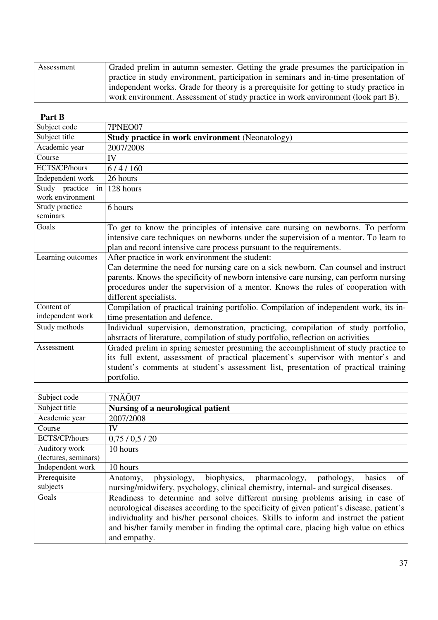| Assessment | Graded prelim in autumn semester. Getting the grade presumes the participation in      |
|------------|----------------------------------------------------------------------------------------|
|            | practice in study environment, participation in seminars and in-time presentation of   |
|            | independent works. Grade for theory is a prerequisite for getting to study practice in |
|            | work environment. Assessment of study practice in work environment (look part B).      |

#### **Part B**

| Subject code                                                         | 7PNEO07                                                                               |  |  |
|----------------------------------------------------------------------|---------------------------------------------------------------------------------------|--|--|
| Subject title                                                        | <b>Study practice in work environment (Neonatology)</b>                               |  |  |
| Academic year                                                        | 2007/2008                                                                             |  |  |
| Course                                                               | IV                                                                                    |  |  |
| ECTS/CP/hours                                                        | 6/4/160                                                                               |  |  |
| Independent work                                                     | 26 hours                                                                              |  |  |
| Study practice<br>in                                                 | 128 hours                                                                             |  |  |
| work environment                                                     |                                                                                       |  |  |
| Study practice                                                       | 6 hours                                                                               |  |  |
| seminars                                                             |                                                                                       |  |  |
| Goals                                                                | To get to know the principles of intensive care nursing on newborns. To perform       |  |  |
|                                                                      | intensive care techniques on newborns under the supervision of a mentor. To learn to  |  |  |
|                                                                      | plan and record intensive care process pursuant to the requirements.                  |  |  |
| Learning outcomes<br>After practice in work environment the student: |                                                                                       |  |  |
|                                                                      | Can determine the need for nursing care on a sick newborn. Can counsel and instruct   |  |  |
|                                                                      | parents. Knows the specificity of newborn intensive care nursing, can perform nursing |  |  |
|                                                                      | procedures under the supervision of a mentor. Knows the rules of cooperation with     |  |  |
|                                                                      | different specialists.                                                                |  |  |
| Content of                                                           | Compilation of practical training portfolio. Compilation of independent work, its in- |  |  |
| independent work                                                     | time presentation and defence.                                                        |  |  |
| Study methods                                                        | Individual supervision, demonstration, practicing, compilation of study portfolio,    |  |  |
|                                                                      | abstracts of literature, compilation of study portfolio, reflection on activities     |  |  |
| Assessment                                                           | Graded prelim in spring semester presuming the accomplishment of study practice to    |  |  |
|                                                                      | its full extent, assessment of practical placement's supervisor with mentor's and     |  |  |
|                                                                      | student's comments at student's assessment list, presentation of practical training   |  |  |
|                                                                      | portfolio.                                                                            |  |  |

| Subject code         | 7NÄÕ07                                                                                   |  |  |  |  |
|----------------------|------------------------------------------------------------------------------------------|--|--|--|--|
| Subject title        | Nursing of a neurological patient                                                        |  |  |  |  |
| Academic year        | 2007/2008                                                                                |  |  |  |  |
| Course               | IV                                                                                       |  |  |  |  |
| ECTS/CP/hours        | 0,75/0,5/20                                                                              |  |  |  |  |
| Auditory work        | 10 hours                                                                                 |  |  |  |  |
| (lectures, seminars) |                                                                                          |  |  |  |  |
| Independent work     | 10 hours                                                                                 |  |  |  |  |
| Prerequisite         | of<br>physiology, biophysics, pharmacology, pathology,<br>basics<br>Anatomy,             |  |  |  |  |
| subjects             | nursing/midwifery, psychology, clinical chemistry, internal- and surgical diseases.      |  |  |  |  |
| Goals                | Readiness to determine and solve different nursing problems arising in case of           |  |  |  |  |
|                      | neurological diseases according to the specificity of given patient's disease, patient's |  |  |  |  |
|                      | individuality and his/her personal choices. Skills to inform and instruct the patient    |  |  |  |  |
|                      | and his/her family member in finding the optimal care, placing high value on ethics      |  |  |  |  |
|                      | and empathy.                                                                             |  |  |  |  |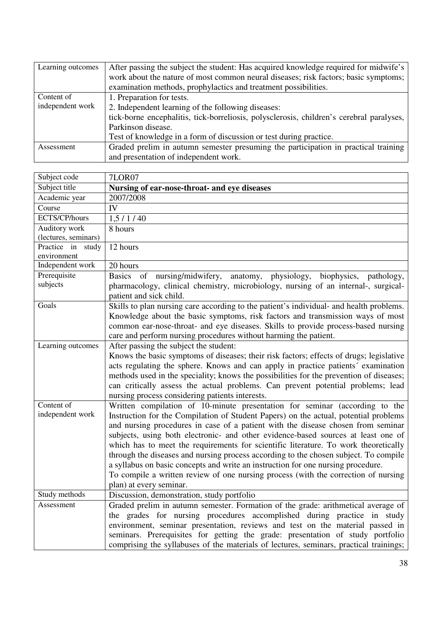| Learning outcomes                                                                                | After passing the subject the student: Has acquired knowledge required for midwife's     |  |  |
|--------------------------------------------------------------------------------------------------|------------------------------------------------------------------------------------------|--|--|
|                                                                                                  | work about the nature of most common neural diseases; risk factors; basic symptoms;      |  |  |
|                                                                                                  | examination methods, prophylactics and treatment possibilities.                          |  |  |
| Content of                                                                                       | 1. Preparation for tests.                                                                |  |  |
| independent work                                                                                 | 2. Independent learning of the following diseases:                                       |  |  |
|                                                                                                  | tick-borne encephalitis, tick-borreliosis, polysclerosis, children's cerebral paralyses, |  |  |
|                                                                                                  | Parkinson disease.                                                                       |  |  |
|                                                                                                  | Test of knowledge in a form of discussion or test during practice.                       |  |  |
| Graded prelim in autumn semester presuming the participation in practical training<br>Assessment |                                                                                          |  |  |
|                                                                                                  | and presentation of independent work.                                                    |  |  |

| Subject code                                                | <b>7LOR07</b>                                                                                                                                            |  |  |  |
|-------------------------------------------------------------|----------------------------------------------------------------------------------------------------------------------------------------------------------|--|--|--|
| Subject title                                               | Nursing of ear-nose-throat- and eye diseases                                                                                                             |  |  |  |
| Academic year                                               | 2007/2008                                                                                                                                                |  |  |  |
| Course                                                      | IV                                                                                                                                                       |  |  |  |
| ECTS/CP/hours                                               | 1,5/1/40                                                                                                                                                 |  |  |  |
| Auditory work                                               | 8 hours                                                                                                                                                  |  |  |  |
| (lectures, seminars)                                        |                                                                                                                                                          |  |  |  |
| Practice in study                                           | 12 hours                                                                                                                                                 |  |  |  |
| environment                                                 |                                                                                                                                                          |  |  |  |
| Independent work                                            | 20 hours                                                                                                                                                 |  |  |  |
| Prerequisite                                                | Basics of nursing/midwifery,<br>anatomy, physiology,<br>biophysics,<br>pathology,                                                                        |  |  |  |
| subjects                                                    | pharmacology, clinical chemistry, microbiology, nursing of an internal-, surgical-                                                                       |  |  |  |
|                                                             | patient and sick child.                                                                                                                                  |  |  |  |
| Goals                                                       | Skills to plan nursing care according to the patient's individual- and health problems.                                                                  |  |  |  |
|                                                             | Knowledge about the basic symptoms, risk factors and transmission ways of most                                                                           |  |  |  |
|                                                             | common ear-nose-throat- and eye diseases. Skills to provide process-based nursing                                                                        |  |  |  |
|                                                             | care and perform nursing procedures without harming the patient.                                                                                         |  |  |  |
| After passing the subject the student:<br>Learning outcomes |                                                                                                                                                          |  |  |  |
|                                                             | Knows the basic symptoms of diseases; their risk factors; effects of drugs; legislative                                                                  |  |  |  |
|                                                             | acts regulating the sphere. Knows and can apply in practice patients' examination                                                                        |  |  |  |
|                                                             | methods used in the speciality; knows the possibilities for the prevention of diseases;                                                                  |  |  |  |
|                                                             | can critically assess the actual problems. Can prevent potential problems; lead                                                                          |  |  |  |
|                                                             | nursing process considering patients interests.                                                                                                          |  |  |  |
| Content of                                                  | Written compilation of 10-minute presentation for seminar (according to the                                                                              |  |  |  |
| independent work                                            | Instruction for the Compilation of Student Papers) on the actual, potential problems                                                                     |  |  |  |
|                                                             | and nursing procedures in case of a patient with the disease chosen from seminar                                                                         |  |  |  |
|                                                             | subjects, using both electronic- and other evidence-based sources at least one of                                                                        |  |  |  |
|                                                             | which has to meet the requirements for scientific literature. To work theoretically                                                                      |  |  |  |
|                                                             | through the diseases and nursing process according to the chosen subject. To compile                                                                     |  |  |  |
|                                                             | a syllabus on basic concepts and write an instruction for one nursing procedure.                                                                         |  |  |  |
|                                                             | To compile a written review of one nursing process (with the correction of nursing                                                                       |  |  |  |
| Study methods                                               | plan) at every seminar.<br>Discussion, demonstration, study portfolio                                                                                    |  |  |  |
| Assessment                                                  | Graded prelim in autumn semester. Formation of the grade: arithmetical average of                                                                        |  |  |  |
|                                                             |                                                                                                                                                          |  |  |  |
|                                                             | the grades for nursing procedures accomplished during practice in study<br>environment, seminar presentation, reviews and test on the material passed in |  |  |  |
|                                                             |                                                                                                                                                          |  |  |  |
|                                                             | seminars. Prerequisites for getting the grade: presentation of study portfolio                                                                           |  |  |  |
|                                                             | comprising the syllabuses of the materials of lectures, seminars, practical trainings;                                                                   |  |  |  |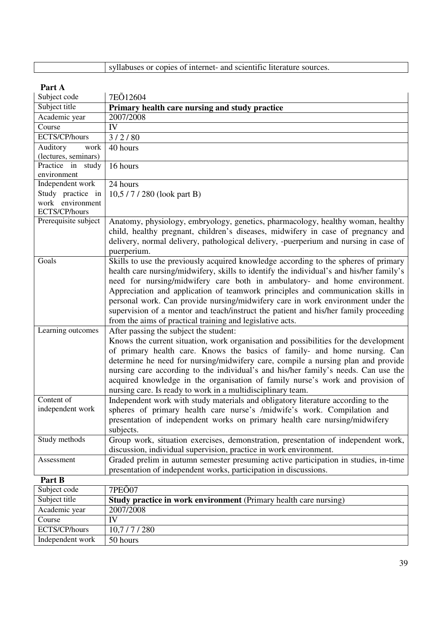|  | syllabuses or copies of internet- and scientific literature sources. |  |
|--|----------------------------------------------------------------------|--|
|  |                                                                      |  |

ECTS/CP/hours | 10,7 / 7 / 280 Independent work 50 hours

| rarı A               |                                                                                         |
|----------------------|-----------------------------------------------------------------------------------------|
| Subject code         | 7EO12604                                                                                |
| Subject title        | Primary health care nursing and study practice                                          |
| Academic year        | 2007/2008                                                                               |
| Course               | IV                                                                                      |
| ECTS/CP/hours        | 3/2/80                                                                                  |
| Auditory<br>work     | 40 hours                                                                                |
| (lectures, seminars) |                                                                                         |
| Practice in study    | 16 hours                                                                                |
| environment          |                                                                                         |
| Independent work     | 24 hours                                                                                |
| Study practice in    | 10,5/7/280 (look part B)                                                                |
| work environment     |                                                                                         |
| ECTS/CP/hours        |                                                                                         |
| Prerequisite subject | Anatomy, physiology, embryology, genetics, pharmacology, healthy woman, healthy         |
|                      | child, healthy pregnant, children's diseases, midwifery in case of pregnancy and        |
|                      | delivery, normal delivery, pathological delivery, -puerperium and nursing in case of    |
|                      | puerperium.                                                                             |
| Goals                | Skills to use the previously acquired knowledge according to the spheres of primary     |
|                      | health care nursing/midwifery, skills to identify the individual's and his/her family's |
|                      | need for nursing/midwifery care both in ambulatory- and home environment.               |
|                      | Appreciation and application of teamwork principles and communication skills in         |
|                      | personal work. Can provide nursing/midwifery care in work environment under the         |
|                      | supervision of a mentor and teach/instruct the patient and his/her family proceeding    |
|                      | from the aims of practical training and legislative acts.                               |
| Learning outcomes    | After passing the subject the student:                                                  |
|                      | Knows the current situation, work organisation and possibilities for the development    |
|                      | of primary health care. Knows the basics of family- and home nursing. Can               |
|                      |                                                                                         |
|                      | determine he need for nursing/midwifery care, compile a nursing plan and provide        |
|                      | nursing care according to the individual's and his/her family's needs. Can use the      |
|                      | acquired knowledge in the organisation of family nurse's work and provision of          |
|                      | nursing care. Is ready to work in a multidisciplinary team.                             |
| Content of           | Independent work with study materials and obligatory literature according to the        |
| independent work     | spheres of primary health care nurse's /midwife's work. Compilation and                 |
|                      | presentation of independent works on primary health care nursing/midwifery              |
|                      | subjects.                                                                               |
| Study methods        | Group work, situation exercises, demonstration, presentation of independent work,       |
|                      | discussion, individual supervision, practice in work environment.                       |
| Assessment           | Graded prelim in autumn semester presuming active participation in studies, in-time     |
|                      | presentation of independent works, participation in discussions.                        |
| Part B               |                                                                                         |
| Subject code         | 7PEÕ07                                                                                  |
| Subject title        | <b>Study practice in work environment</b> (Primary health care nursing)                 |
| Academic year        | 2007/2008                                                                               |
| Course               | IV                                                                                      |
|                      |                                                                                         |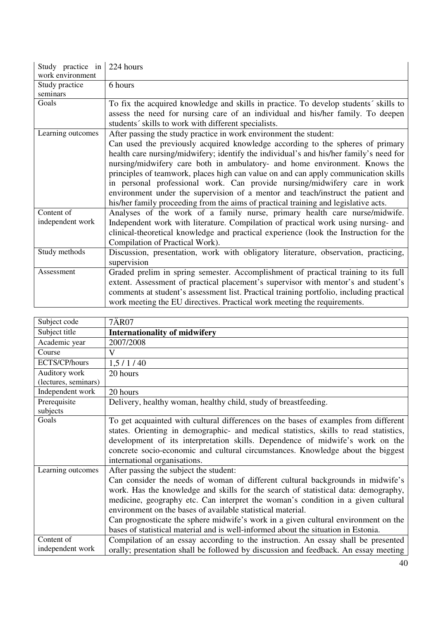| Study practice in | 224 hours                                                                                |
|-------------------|------------------------------------------------------------------------------------------|
| work environment  |                                                                                          |
| Study practice    | 6 hours                                                                                  |
| seminars          |                                                                                          |
| Goals             | To fix the acquired knowledge and skills in practice. To develop students' skills to     |
|                   | assess the need for nursing care of an individual and his/her family. To deepen          |
|                   | students' skills to work with different specialists.                                     |
| Learning outcomes | After passing the study practice in work environment the student:                        |
|                   | Can used the previously acquired knowledge according to the spheres of primary           |
|                   | health care nursing/midwifery; identify the individual's and his/her family's need for   |
|                   | nursing/midwifery care both in ambulatory- and home environment. Knows the               |
|                   | principles of teamwork, places high can value on and can apply communication skills      |
|                   | in personal professional work. Can provide nursing/midwifery care in work                |
|                   | environment under the supervision of a mentor and teach/instruct the patient and         |
|                   | his/her family proceeding from the aims of practical training and legislative acts.      |
| Content of        | Analyses of the work of a family nurse, primary health care nurse/midwife.               |
| independent work  | Independent work with literature. Compilation of practical work using nursing- and       |
|                   | clinical-theoretical knowledge and practical experience (look the Instruction for the    |
|                   | Compilation of Practical Work).                                                          |
| Study methods     | Discussion, presentation, work with obligatory literature, observation, practicing,      |
|                   | supervision                                                                              |
| Assessment        | Graded prelim in spring semester. Accomplishment of practical training to its full       |
|                   | extent. Assessment of practical placement's supervisor with mentor's and student's       |
|                   | comments at student's assessment list. Practical training portfolio, including practical |
|                   | work meeting the EU directives. Practical work meeting the requirements.                 |

| Subject code         | 7ÄR07                                                                                                                                                                                                                                                                                                                                                                                                                                                                                                                                         |
|----------------------|-----------------------------------------------------------------------------------------------------------------------------------------------------------------------------------------------------------------------------------------------------------------------------------------------------------------------------------------------------------------------------------------------------------------------------------------------------------------------------------------------------------------------------------------------|
| Subject title        | <b>Internationality of midwifery</b>                                                                                                                                                                                                                                                                                                                                                                                                                                                                                                          |
| Academic year        | 2007/2008                                                                                                                                                                                                                                                                                                                                                                                                                                                                                                                                     |
| Course               | V                                                                                                                                                                                                                                                                                                                                                                                                                                                                                                                                             |
| ECTS/CP/hours        | 1,5/1/40                                                                                                                                                                                                                                                                                                                                                                                                                                                                                                                                      |
| Auditory work        | 20 hours                                                                                                                                                                                                                                                                                                                                                                                                                                                                                                                                      |
| (lectures, seminars) |                                                                                                                                                                                                                                                                                                                                                                                                                                                                                                                                               |
| Independent work     | 20 hours                                                                                                                                                                                                                                                                                                                                                                                                                                                                                                                                      |
| Prerequisite         | Delivery, healthy woman, healthy child, study of breastfeeding.                                                                                                                                                                                                                                                                                                                                                                                                                                                                               |
| subjects             |                                                                                                                                                                                                                                                                                                                                                                                                                                                                                                                                               |
| Goals                | To get acquainted with cultural differences on the bases of examples from different<br>states. Orienting in demographic- and medical statistics, skills to read statistics,<br>development of its interpretation skills. Dependence of midwife's work on the<br>concrete socio-economic and cultural circumstances. Knowledge about the biggest<br>international organisations.                                                                                                                                                               |
| Learning outcomes    | After passing the subject the student:<br>Can consider the needs of woman of different cultural backgrounds in midwife's<br>work. Has the knowledge and skills for the search of statistical data: demography,<br>medicine, geography etc. Can interpret the woman's condition in a given cultural<br>environment on the bases of available statistical material.<br>Can prognosticate the sphere midwife's work in a given cultural environment on the<br>bases of statistical material and is well-informed about the situation in Estonia. |
| Content of           | Compilation of an essay according to the instruction. An essay shall be presented                                                                                                                                                                                                                                                                                                                                                                                                                                                             |
| independent work     | orally; presentation shall be followed by discussion and feedback. An essay meeting                                                                                                                                                                                                                                                                                                                                                                                                                                                           |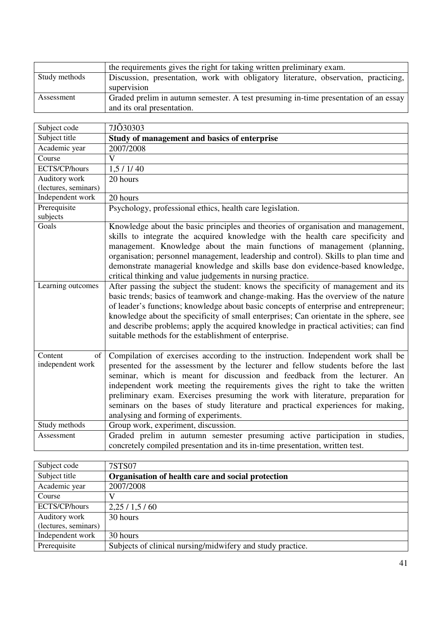|               | the requirements gives the right for taking written preliminary exam.               |
|---------------|-------------------------------------------------------------------------------------|
| Study methods | Discussion, presentation, work with obligatory literature, observation, practicing, |
|               | supervision                                                                         |
| Assessment    | Graded prelim in autumn semester. A test presuming in-time presentation of an essay |
|               | and its oral presentation.                                                          |

| Subject code                      | 7JÕ30303                                                                                                                                                                                                                                                                                                                                                                                                                                                                                                                                          |
|-----------------------------------|---------------------------------------------------------------------------------------------------------------------------------------------------------------------------------------------------------------------------------------------------------------------------------------------------------------------------------------------------------------------------------------------------------------------------------------------------------------------------------------------------------------------------------------------------|
| Subject title                     | Study of management and basics of enterprise                                                                                                                                                                                                                                                                                                                                                                                                                                                                                                      |
| Academic year                     | 2007/2008                                                                                                                                                                                                                                                                                                                                                                                                                                                                                                                                         |
| Course                            | $\overline{\mathbf{V}}$                                                                                                                                                                                                                                                                                                                                                                                                                                                                                                                           |
| ECTS/CP/hours                     | 1, 5 / 1 / 40                                                                                                                                                                                                                                                                                                                                                                                                                                                                                                                                     |
| Auditory work                     | 20 hours                                                                                                                                                                                                                                                                                                                                                                                                                                                                                                                                          |
| (lectures, seminars)              |                                                                                                                                                                                                                                                                                                                                                                                                                                                                                                                                                   |
| Independent work                  | 20 hours                                                                                                                                                                                                                                                                                                                                                                                                                                                                                                                                          |
| Prerequisite<br>subjects          | Psychology, professional ethics, health care legislation.                                                                                                                                                                                                                                                                                                                                                                                                                                                                                         |
| Goals                             | Knowledge about the basic principles and theories of organisation and management,<br>skills to integrate the acquired knowledge with the health care specificity and<br>management. Knowledge about the main functions of management (planning,<br>organisation; personnel management, leadership and control). Skills to plan time and<br>demonstrate managerial knowledge and skills base don evidence-based knowledge,<br>critical thinking and value judgements in nursing practice.                                                          |
| Learning outcomes                 | After passing the subject the student: knows the specificity of management and its<br>basic trends; basics of teamwork and change-making. Has the overview of the nature<br>of leader's functions; knowledge about basic concepts of enterprise and entrepreneur;<br>knowledge about the specificity of small enterprises; Can orientate in the sphere, see<br>and describe problems; apply the acquired knowledge in practical activities; can find<br>suitable methods for the establishment of enterprise.                                     |
| Content<br>of<br>independent work | Compilation of exercises according to the instruction. Independent work shall be<br>presented for the assessment by the lecturer and fellow students before the last<br>seminar, which is meant for discussion and feedback from the lecturer. An<br>independent work meeting the requirements gives the right to take the written<br>preliminary exam. Exercises presuming the work with literature, preparation for<br>seminars on the bases of study literature and practical experiences for making,<br>analysing and forming of experiments. |
| Study methods                     | Group work, experiment, discussion.                                                                                                                                                                                                                                                                                                                                                                                                                                                                                                               |
| Assessment                        | Graded prelim in autumn semester presuming active participation in studies,<br>concretely compiled presentation and its in-time presentation, written test.                                                                                                                                                                                                                                                                                                                                                                                       |

| Subject code         | 7STS07                                                     |
|----------------------|------------------------------------------------------------|
| Subject title        | Organisation of health care and social protection          |
| Academic year        | 2007/2008                                                  |
| Course               | V                                                          |
| ECTS/CP/hours        | 2,25/1,5/60                                                |
| Auditory work        | 30 hours                                                   |
| (lectures, seminars) |                                                            |
| Independent work     | 30 hours                                                   |
| Prerequisite         | Subjects of clinical nursing/midwifery and study practice. |